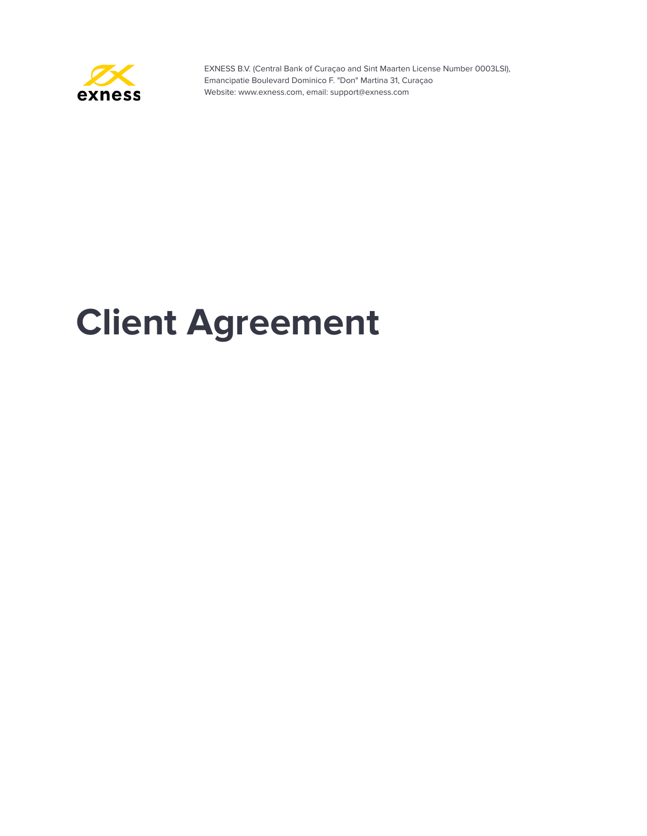

# **Client Agreement**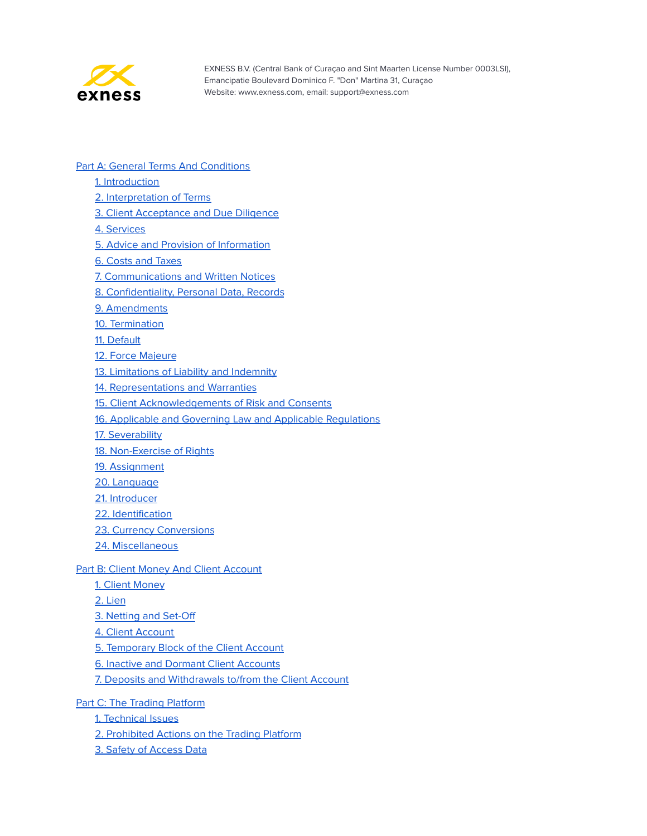

- **Part A: General Terms And [Conditions](#page-3-0)** 
	- 1. [Introduction](#page-3-1)
	- 2. [Interpretation](#page-3-2) of Terms
	- 3. Client [Acceptance](#page-11-0) and Due Diligence
	- 4. [Services](#page-11-1)
	- 5. Advice and Provision of [Information](#page-11-2)
	- 6. Costs and [Taxes](#page-12-0)
	- 7. [Communications](#page-13-0) and Written Notices
	- 8. [Confidentiality,](#page-15-0) Personal Data, Records
	- 9. [Amendments](#page-16-0)
	- 10. [Termination](#page-17-0)
	- 11. [Default](#page-18-0)
	- 12. Force [Majeure](#page-20-0)
	- 13. [Limitations](#page-21-0) of Liability and Indemnity
	- 14. [Representations](#page-23-0) and Warranties
	- 15. Client [Acknowledgements](#page-24-0) of Risk and Consents
	- 16. Applicable and Governing Law and Applicable [Regulations](#page-25-0)
	- 17. [Severability](#page-25-1)
	- 18. [Non-Exercise](#page-25-2) of Rights
	- 19. [Assignment](#page-25-3)
	- 20. [Language](#page-26-0)
	- 21. [Introducer](#page-26-1)
	- 22. [Identification](#page-26-2)
	- 23. Currency [Conversions](#page-27-0)
	- 24. [Miscellaneous](#page-27-1)

#### **Part B: Client Money And Client [Account](#page-27-2)**

- 1. Client [Money](#page-28-0)
- 2. [Lien](#page-28-1)
- 3. [Netting](#page-29-0) and Set-Off
- 4. Client [Account](#page-29-1)
- 5. [Temporary](#page-29-2) Block of the Client Account
- 6. Inactive and Dormant Client [Accounts](#page-31-0)
- 7. Deposits and [Withdrawals](#page-31-1) to/from the Client Account
- Part C: The Trading [Platform](#page-34-0)
	- 1. [Technical](#page-34-1) Issues
	- 2. [Prohibited](#page-35-0) Actions on the Trading Platform
	- 3. Safety of [Access](#page-36-0) Data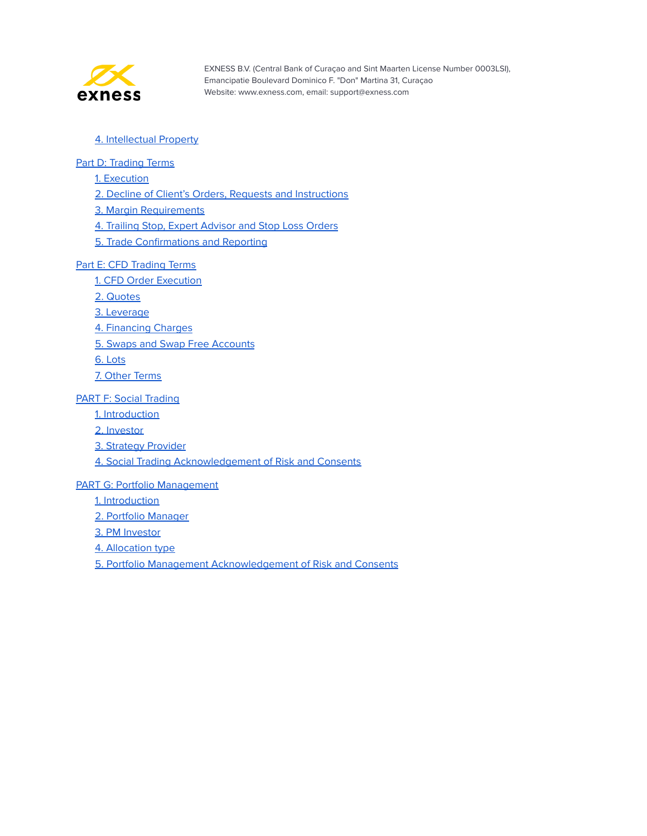

#### 4. [Intellectual](#page-36-1) Property

#### Part D: [Trading](#page-38-0) Terms

1. [Execution](#page-38-1)

2. Decline of Client's Orders, Requests and [Instructions](#page-38-2)

3. Margin [Requirements](#page-39-0)

4. Trailing Stop, Expert [Advisor](#page-40-0) and Stop Loss Orders

5. Trade [Confirmations](#page-41-0) and Reporting

#### Part E: CFD [Trading](#page-42-0) Terms

1. CFD Order [Execution](#page-42-1)

2. [Quotes](#page-42-2)

3. [Leverage](#page-43-0)

4. [Financing](#page-43-1) Charges

5. Swaps and Swap Free [Accounts](#page-43-2)

6. [Lots](#page-44-0)

7. Other [Terms](#page-45-0)

#### PART F: Social [Trading](#page-46-0)

1. [Introduction](#page-46-1)

2. [Investor](#page-46-2)

3. Strategy [Provider](#page-47-0)

4. Social Trading [Acknowledgement](#page-49-0) of Risk and Consents

#### PART G: Portfolio [Management](#page-50-0)

1. [Introduction](#page-50-1)

2. Portfolio [Manager](#page-50-2)

3. PM [Investor](#page-54-0)

4. [Allocation](#page-55-0) type

5. Portfolio Management [Acknowledgement](#page-56-0) of Risk and Consents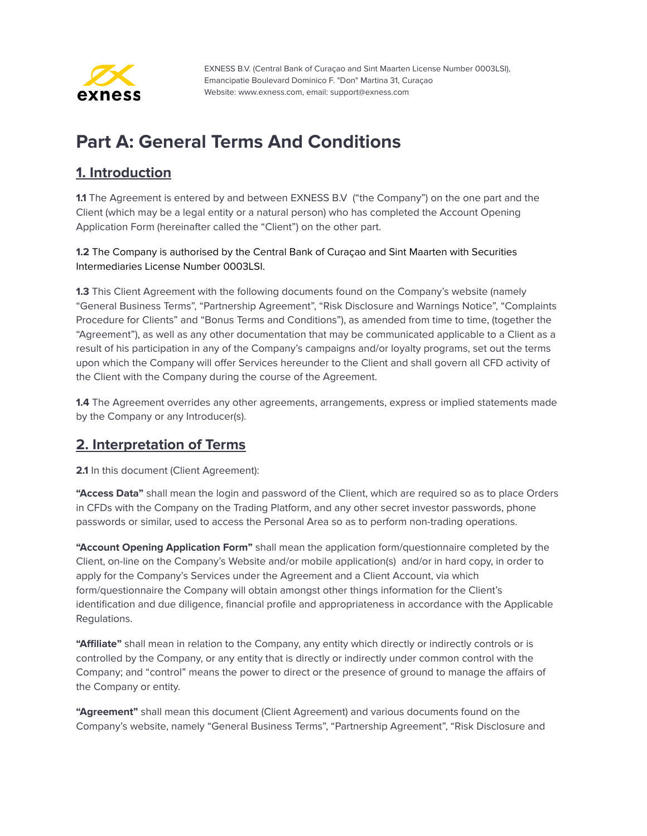

# <span id="page-3-0"></span>**Part A: General Terms And Conditions**

### <span id="page-3-1"></span>**1. Introduction**

**1.1** The Agreement is entered by and between EXNESS B.V ("the Company") on the one part and the Client (which may be a legal entity or a natural person) who has completed the Account Opening Application Form (hereinafter called the "Client") on the other part.

**1.2** The Company is authorised by the Central Bank of Curaçao and Sint Maarten with Securities Intermediaries License Number 0003LSI.

**1.3** This Client Agreement with the following documents found on the Company's website (namely "General Business Terms", "Partnership Agreement", "Risk Disclosure and Warnings Notice", "Complaints Procedure for Clients" and "Bonus Terms and Conditions"), as amended from time to time, (together the "Agreement"), as well as any other documentation that may be communicated applicable to a Client as a result of his participation in any of the Company's campaigns and/or loyalty programs, set out the terms upon which the Company will offer Services hereunder to the Client and shall govern all CFD activity of the Client with the Company during the course of the Agreement.

**1.4** The Agreement overrides any other agreements, arrangements, express or implied statements made by the Company or any Introducer(s).

#### <span id="page-3-2"></span>**2. Interpretation of Terms**

**2.1** In this document (Client Agreement):

**"Access Data"** shall mean the login and password of the Client, which are required so as to place Orders in CFDs with the Company on the Trading Platform, and any other secret investor passwords, phone passwords or similar, used to access the Personal Area so as to perform non-trading operations.

**"Account Opening Application Form"** shall mean the application form/questionnaire completed by the Client, on-line on the Company's Website and/or mobile application(s) and/or in hard copy, in order to apply for the Company's Services under the Agreement and a Client Account, via which form/questionnaire the Company will obtain amongst other things information for the Client's identification and due diligence, financial profile and appropriateness in accordance with the Applicable Regulations.

**"Affiliate"** shall mean in relation to the Company, any entity which directly or indirectly controls or is controlled by the Company, or any entity that is directly or indirectly under common control with the Company; and "control" means the power to direct or the presence of ground to manage the affairs of the Company or entity.

**"Agreement"** shall mean this document (Client Agreement) and various documents found on the Company's website, namely "General Business Terms", "Partnership Agreement", "Risk Disclosure and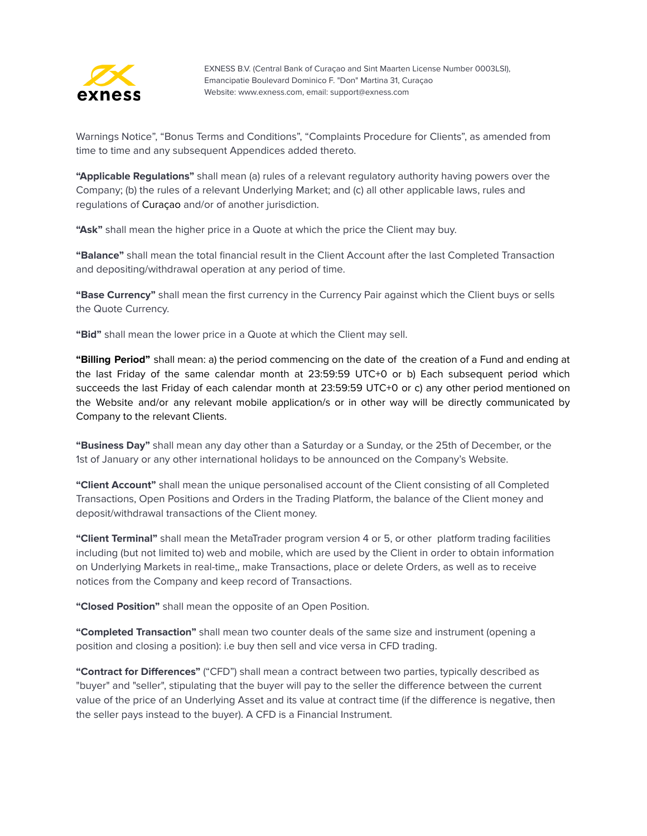

Warnings Notice", "Bonus Terms and Conditions", "Complaints Procedure for Clients", as amended from time to time and any subsequent Appendices added thereto.

**"Applicable Regulations"** shall mean (a) rules of a relevant regulatory authority having powers over the Company; (b) the rules of a relevant Underlying Market; and (c) all other applicable laws, rules and regulations of Curaçao and/or of another jurisdiction.

**"Ask"** shall mean the higher price in a Quote at which the price the Client may buy.

**"Balance"** shall mean the total financial result in the Client Account after the last Completed Transaction and depositing/withdrawal operation at any period of time.

**"Base Currency"** shall mean the first currency in the Currency Pair against which the Client buys or sells the Quote Currency.

**"Bid"** shall mean the lower price in a Quote at which the Client may sell.

**"Billing Period"** shall mean: a) the period commencing on the date of the creation of a Fund and ending at the last Friday of the same calendar month at 23:59:59 UTC+0 or b) Each subsequent period which succeeds the last Friday of each calendar month at 23:59:59 UTC+0 or c) any other period mentioned on the Website and/or any relevant mobile application/s or in other way will be directly communicated by Company to the relevant Clients.

**"Business Day"** shall mean any day other than a Saturday or a Sunday, or the 25th of December, or the 1st of January or any other international holidays to be announced on the Company's Website.

**"Client Account"** shall mean the unique personalised account of the Client consisting of all Completed Transactions, Open Positions and Orders in the Trading Platform, the balance of the Client money and deposit/withdrawal transactions of the Client money.

**"Client Terminal"** shall mean the MetaTrader program version 4 or 5, or other platform trading facilities including (but not limited to) web and mobile, which are used by the Client in order to obtain information on Underlying Markets in real-time,, make Transactions, place or delete Orders, as well as to receive notices from the Company and keep record of Transactions.

**"Closed Position"** shall mean the opposite of an Open Position.

**"Completed Transaction"** shall mean two counter deals of the same size and instrument (opening a position and closing a position): i.e buy then sell and vice versa in CFD trading.

**"Contract for Differences"** ("CFD") shall mean a contract between two parties, typically described as "buyer" and "seller", stipulating that the buyer will pay to the seller the difference between the current value of the price of an Underlying Asset and its value at contract time (if the difference is negative, then the seller pays instead to the buyer). A CFD is a Financial Instrument.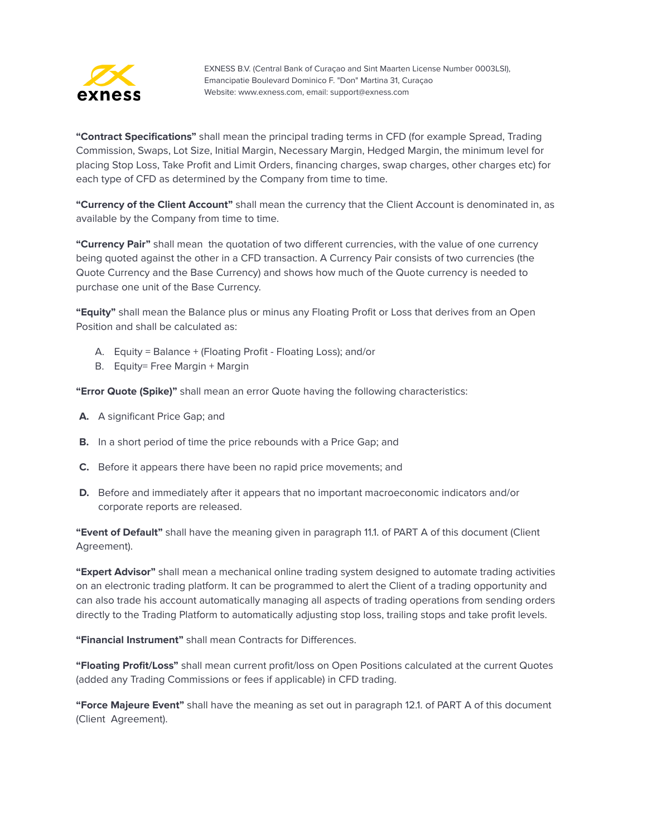

**"Contract Specifications"** shall mean the principal trading terms in CFD (for example Spread, Trading Commission, Swaps, Lot Size, Initial Margin, Necessary Margin, Hedged Margin, the minimum level for placing Stop Loss, Take Profit and Limit Orders, financing charges, swap charges, other charges etc) for each type of CFD as determined by the Company from time to time.

**"Currency of the Client Account"** shall mean the currency that the Client Account is denominated in, as available by the Company from time to time.

**"Currency Pair"** shall mean the quotation of two different currencies, with the value of one currency being quoted against the other in a CFD transaction. A Currency Pair consists of two currencies (the Quote Currency and the Base Currency) and shows how much of the Quote currency is needed to purchase one unit of the Base Currency.

**"Equity"** shall mean the Balance plus or minus any Floating Profit or Loss that derives from an Open Position and shall be calculated as:

- A. Equity = Balance + (Floating Profit Floating Loss); and/or
- B. Equity= Free Margin + Margin

**"Error Quote (Spike)"** shall mean an error Quote having the following characteristics:

- **A.** A significant Price Gap; and
- **B.** In a short period of time the price rebounds with a Price Gap; and
- **C.** Before it appears there have been no rapid price movements; and
- **D.** Before and immediately after it appears that no important macroeconomic indicators and/or corporate reports are released.

**"Event of Default"** shall have the meaning given in paragraph 11.1. of PART A of this document (Client Agreement).

**"Expert Advisor"** shall mean a mechanical online trading system designed to automate trading activities on an electronic trading platform. It can be programmed to alert the Client of a trading opportunity and can also trade his account automatically managing all aspects of trading operations from sending orders directly to the Trading Platform to automatically adjusting stop loss, trailing stops and take profit levels.

**"Financial Instrument"** shall mean Contracts for Differences.

**"Floating Profit/Loss"** shall mean current profit/loss on Open Positions calculated at the current Quotes (added any Trading Commissions or fees if applicable) in CFD trading.

**"Force Majeure Event"** shall have the meaning as set out in paragraph 12.1. of PART A of this document (Client Agreement).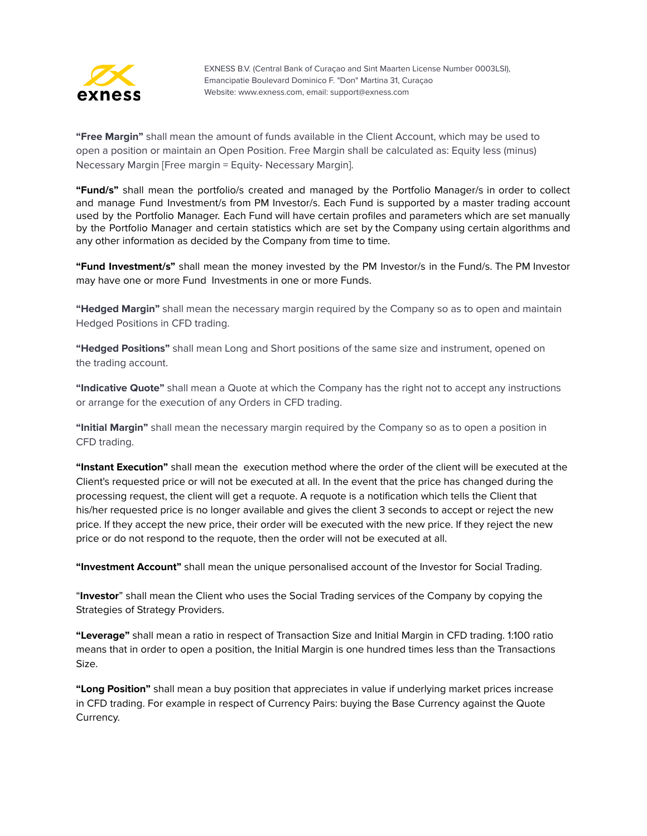

**"Free Margin"** shall mean the amount of funds available in the Client Account, which may be used to open a position or maintain an Open Position. Free Margin shall be calculated as: Equity less (minus) Necessary Margin [Free margin = Equity- Necessary Margin].

**"Fund/s"** shall mean the portfolio/s created and managed by the Portfolio Manager/s in order to collect and manage Fund Investment/s from PM Investor/s. Each Fund is supported by a master trading account used by the Portfolio Manager. Each Fund will have certain profiles and parameters which are set manually by the Portfolio Manager and certain statistics which are set by the Company using certain algorithms and any other information as decided by the Company from time to time.

**"Fund Investment/s"** shall mean the money invested by the PM Investor/s in the Fund/s. The PM Investor may have one or more Fund Investments in one or more Funds.

**"Hedged Margin"** shall mean the necessary margin required by the Company so as to open and maintain Hedged Positions in CFD trading.

**"Hedged Positions"** shall mean Long and Short positions of the same size and instrument, opened on the trading account.

**"Indicative Quote"** shall mean a Quote at which the Company has the right not to accept any instructions or arrange for the execution of any Orders in CFD trading.

**"Initial Margin"** shall mean the necessary margin required by the Company so as to open a position in CFD trading.

**"Instant Execution"** shall mean the execution method where the order of the client will be executed at the Client's requested price or will not be executed at all. In the event that the price has changed during the processing request, the client will get a requote. A requote is a notification which tells the Client that his/her requested price is no longer available and gives the client 3 seconds to accept or reject the new price. If they accept the new price, their order will be executed with the new price. If they reject the new price or do not respond to the requote, then the order will not be executed at all.

**"Investment Account"** shall mean the unique personalised account of the Investor for Social Trading.

"**Investor**" shall mean the Client who uses the Social Trading services of the Company by copying the Strategies of Strategy Providers.

**"Leverage"** shall mean a ratio in respect of Transaction Size and Initial Margin in CFD trading. 1:100 ratio means that in order to open a position, the Initial Margin is one hundred times less than the Transactions Size.

**"Long Position"** shall mean a buy position that appreciates in value if underlying market prices increase in CFD trading. For example in respect of Currency Pairs: buying the Base Currency against the Quote Currency.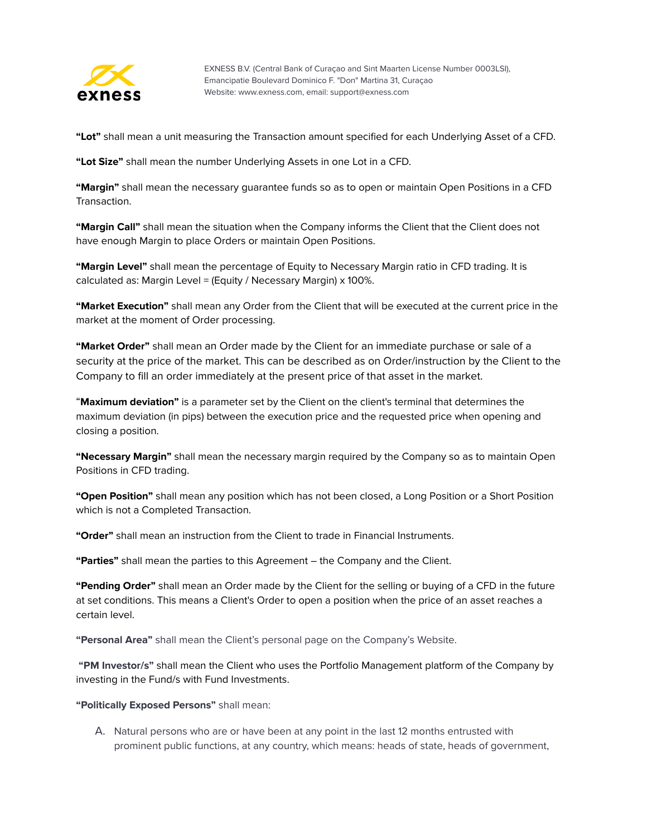

**"Lot"** shall mean a unit measuring the Transaction amount specified for each Underlying Asset of a CFD.

**"Lot Size"** shall mean the number Underlying Assets in one Lot in a CFD.

**"Margin"** shall mean the necessary guarantee funds so as to open or maintain Open Positions in a CFD Transaction.

**"Margin Call"** shall mean the situation when the Company informs the Client that the Client does not have enough Margin to place Orders or maintain Open Positions.

**"Маrgin Level"** shall mean the percentage of Equity to Necessary Margin ratio in CFD trading. It is calculated as: Margin Level = (Equity / Necessary Margin) x 100%.

**"Market Execution"** shall mean any Order from the Client that will be executed at the current price in the market at the moment of Order processing.

**"Market Order"** shall mean an Order made by the Client for an immediate purchase or sale of a security at the price of the market. This can be described as on Order/instruction by the Client to the Company to fill an order immediately at the present price of that asset in the market.

"**Maximum deviation"** is a parameter set by the Client on the client's terminal that determines the maximum deviation (in pips) between the execution price and the requested price when opening and closing a position.

**"Necessary Margin"** shall mean the necessary margin required by the Company so as to maintain Open Positions in CFD trading.

**"Open Position"** shall mean any position which has not been closed, a Long Position or a Short Position which is not a Completed Transaction.

**"Order"** shall mean an instruction from the Client to trade in Financial Instruments.

**"Parties"** shall mean the parties to this Agreement – the Company and the Client.

**"Pending Order"** shall mean an Order made by the Client for the selling or buying of a CFD in the future at set conditions. This means a Client's Order to open a position when the price of an asset reaches a certain level.

**"Personal Area"** shall mean the Client's personal page on the Company's Website.

**"PM Investor/s"** shall mean the Client who uses the Portfolio Management platform of the Company by investing in the Fund/s with Fund Investments.

#### **"Politically Exposed Persons"** shall mean:

A. Natural persons who are or have been at any point in the last 12 months entrusted with prominent public functions, at any country, which means: heads of state, heads of government,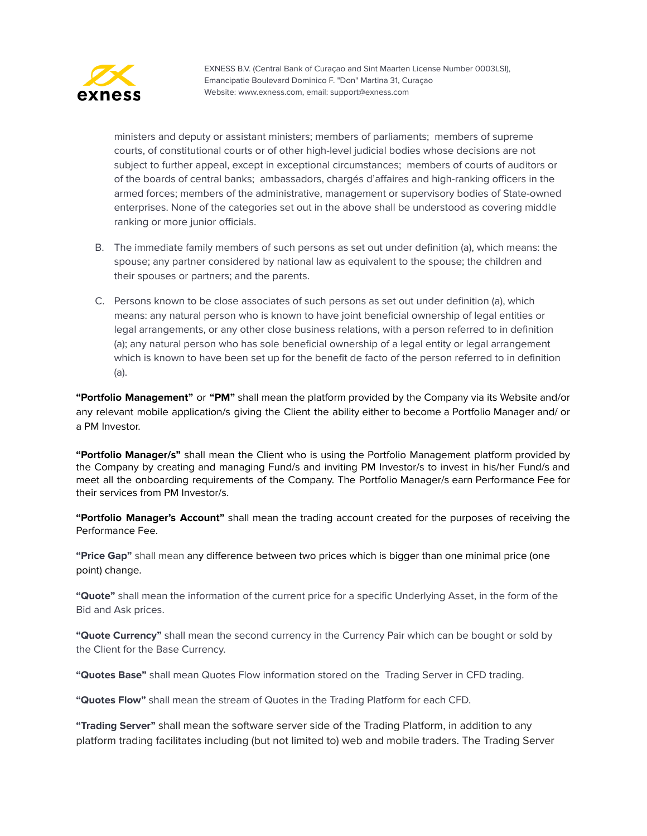

ministers and deputy or assistant ministers; members of parliaments; members of supreme courts, of constitutional courts or of other high-level judicial bodies whose decisions are not subject to further appeal, except in exceptional circumstances; members of courts of auditors or of the boards of central banks; ambassadors, chargés d'affaires and high-ranking officers in the armed forces; members of the administrative, management or supervisory bodies of State-owned enterprises. None of the categories set out in the above shall be understood as covering middle ranking or more junior officials.

- B. The immediate family members of such persons as set out under definition (a), which means: the spouse; any partner considered by national law as equivalent to the spouse; the children and their spouses or partners; and the parents.
- C. Persons known to be close associates of such persons as set out under definition (a), which means: any natural person who is known to have joint beneficial ownership of legal entities or legal arrangements, or any other close business relations, with a person referred to in definition (a); any natural person who has sole beneficial ownership of a legal entity or legal arrangement which is known to have been set up for the benefit de facto of the person referred to in definition (a).

**"Portfolio Management"** or **"PM"** shall mean the platform provided by the Company via its Website and/or any relevant mobile application/s giving the Client the ability either to become a Portfolio Manager and/ or a PM Investor.

**"Portfolio Manager/s"** shall mean the Client who is using the Portfolio Management platform provided by the Company by creating and managing Fund/s and inviting PM Investor/s to invest in his/her Fund/s and meet all the onboarding requirements of the Company. The Portfolio Manager/s earn Performance Fee for their services from PM Investor/s.

**"Portfolio Manager's Account"** shall mean the trading account created for the purposes of receiving the Performance Fee.

**"Price Gap"** shall mean any difference between two prices which is bigger than one minimal price (one point) change.

**"Quote"** shall mean the information of the current price for a specific Underlying Asset, in the form of the Bid and Ask prices.

**"Quote Currency"** shall mean the second currency in the Currency Pair which can be bought or sold by the Client for the Base Currency.

**"Quotes Base"** shall mean Quotes Flow information stored on the Trading Server in CFD trading.

**"Quotes Flow"** shall mean the stream of Quotes in the Trading Platform for each CFD.

**"Trading Server"** shall mean the software server side of the Trading Platform, in addition to any platform trading facilitates including (but not limited to) web and mobile traders. The Trading Server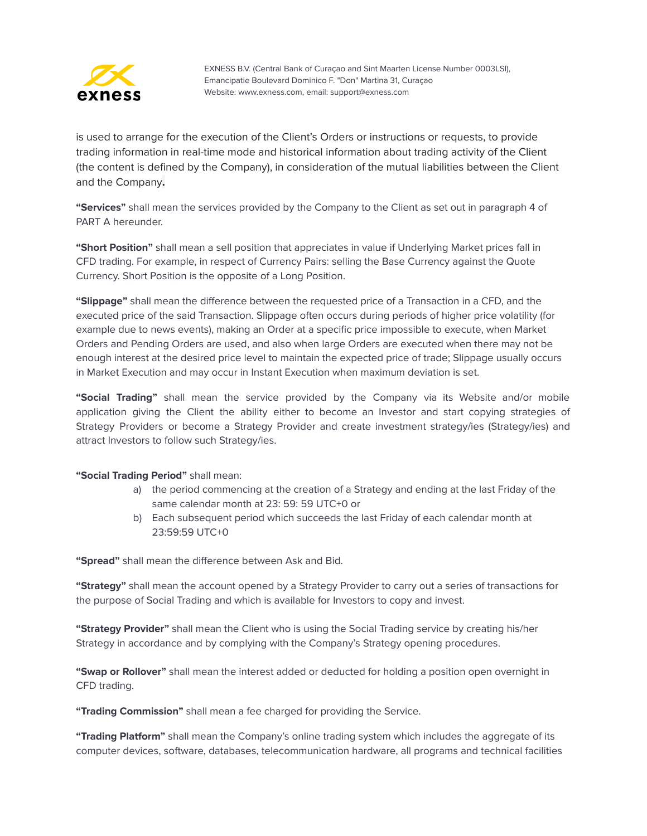

is used to arrange for the execution of the Client's Orders or instructions or requests, to provide trading information in real-time mode and historical information about trading activity of the Client (the content is defined by the Company), in consideration of the mutual liabilities between the Client and the Company**.**

**"Services"** shall mean the services provided by the Company to the Client as set out in paragraph 4 of PART A hereunder.

**"Short Position"** shall mean a sell position that appreciates in value if Underlying Market prices fall in CFD trading. For example, in respect of Currency Pairs: selling the Base Currency against the Quote Currency. Short Position is the opposite of a Long Position.

**"Slippage"** shall mean the difference between the requested price of a Transaction in a CFD, and the executed price of the said Transaction. Slippage often occurs during periods of higher price volatility (for example due to news events), making an Order at a specific price impossible to execute, when Market Orders and Pending Orders are used, and also when large Orders are executed when there may not be enough interest at the desired price level to maintain the expected price of trade; Slippage usually occurs in Market Execution and may occur in Instant Execution when maximum deviation is set.

**"Social Trading"** shall mean the service provided by the Company via its Website and/or mobile application giving the Client the ability either to become an Investor and start copying strategies of Strategy Providers or become a Strategy Provider and create investment strategy/ies (Strategy/ies) and attract Investors to follow such Strategy/ies.

#### **"Social Trading Period"** shall mean:

- a) the period commencing at the creation of a Strategy and ending at the last Friday of the same calendar month at 23: 59: 59 UTC+0 or
- b) Each subsequent period which succeeds the last Friday of each calendar month at 23:59:59 UTC+0

**"Spread"** shall mean the difference between Ask and Bid.

**"Strategy"** shall mean the account opened by a Strategy Provider to carry out a series of transactions for the purpose of Social Trading and which is available for Investors to copy and invest.

**"Strategy Provider"** shall mean the Client who is using the Social Trading service by creating his/her Strategy in accordance and by complying with the Company's Strategy opening procedures.

**"Swap or Rollover"** shall mean the interest added or deducted for holding a position open overnight in CFD trading.

**"Trading Commission"** shall mean a fee charged for providing the Service.

**"Trading Platform"** shall mean the Company's online trading system which includes the aggregate of its computer devices, software, databases, telecommunication hardware, all programs and technical facilities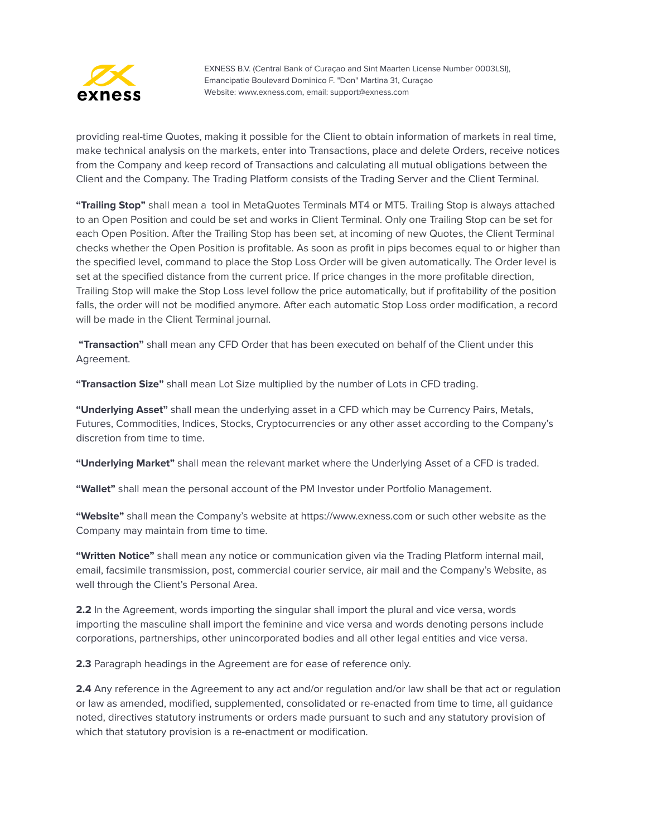

providing real-time Quotes, making it possible for the Client to obtain information of markets in real time, make technical analysis on the markets, enter into Transactions, place and delete Orders, receive notices from the Company and keep record of Transactions and calculating all mutual obligations between the Client and the Company. The Trading Platform consists of the Trading Server and the Client Terminal.

**"Trailing Stop"** shall mean a tool in MetaQuotes Terminals MT4 or MT5. Trailing Stop is always attached to an Open Position and could be set and works in Client Terminal. Only one Trailing Stop can be set for each Open Position. After the Trailing Stop has been set, at incoming of new Quotes, the Client Terminal checks whether the Open Position is profitable. As soon as profit in pips becomes equal to or higher than the specified level, command to place the Stop Loss Order will be given automatically. The Order level is set at the specified distance from the current price. If price changes in the more profitable direction, Trailing Stop will make the Stop Loss level follow the price automatically, but if profitability of the position falls, the order will not be modified anymore. After each automatic Stop Loss order modification, a record will be made in the Client Terminal journal.

**"Transaction"** shall mean any CFD Order that has been executed on behalf of the Client under this Agreement.

**"Transaction Size"** shall mean Lot Size multiplied by the number of Lots in CFD trading.

**"Underlying Asset"** shall mean the underlying asset in a CFD which may be Currency Pairs, Metals, Futures, Commodities, Indices, Stocks, Cryptocurrencies or any other asset according to the Company's discretion from time to time.

**"Underlying Market"** shall mean the relevant market where the Underlying Asset of a CFD is traded.

**"Wallet"** shall mean the personal account of the PM Investor under Portfolio Management.

**"Website"** shall mean the Company's website at https://www.exness.com or such other website as the Company may maintain from time to time.

**"Written Notice"** shall mean any notice or communication given via the Trading Platform internal mail, email, facsimile transmission, post, commercial courier service, air mail and the Company's Website, as well through the Client's Personal Area.

**2.2** In the Agreement, words importing the singular shall import the plural and vice versa, words importing the masculine shall import the feminine and vice versa and words denoting persons include corporations, partnerships, other unincorporated bodies and all other legal entities and vice versa.

**2.3** Paragraph headings in the Agreement are for ease of reference only.

**2.4** Any reference in the Agreement to any act and/or regulation and/or law shall be that act or regulation or law as amended, modified, supplemented, consolidated or re-enacted from time to time, all guidance noted, directives statutory instruments or orders made pursuant to such and any statutory provision of which that statutory provision is a re-enactment or modification.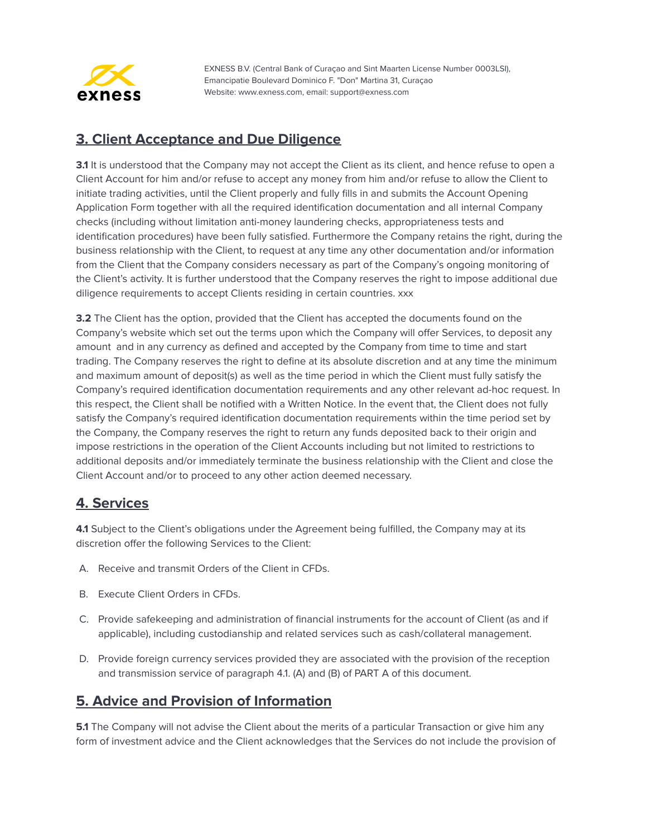

#### <span id="page-11-0"></span>**3. Client Acceptance and Due Diligence**

**3.1** It is understood that the Company may not accept the Client as its client, and hence refuse to open a Client Account for him and/or refuse to accept any money from him and/or refuse to allow the Client to initiate trading activities, until the Client properly and fully fills in and submits the Account Opening Application Form together with all the required identification documentation and all internal Company checks (including without limitation anti-money laundering checks, appropriateness tests and identification procedures) have been fully satisfied. Furthermore the Company retains the right, during the business relationship with the Client, to request at any time any other documentation and/or information from the Client that the Company considers necessary as part of the Company's ongoing monitoring of the Client's activity. It is further understood that the Company reserves the right to impose additional due diligence requirements to accept Clients residing in certain countries. xxx

**3.2** The Client has the option, provided that the Client has accepted the documents found on the Company's website which set out the terms upon which the Company will offer Services, to deposit any amount and in any currency as defined and accepted by the Company from time to time and start trading. The Company reserves the right to define at its absolute discretion and at any time the minimum and maximum amount of deposit(s) as well as the time period in which the Client must fully satisfy the Company's required identification documentation requirements and any other relevant ad-hoc request. In this respect, the Client shall be notified with a Written Notice. In the event that, the Client does not fully satisfy the Company's required identification documentation requirements within the time period set by the Company, the Company reserves the right to return any funds deposited back to their origin and impose restrictions in the operation of the Client Accounts including but not limited to restrictions to additional deposits and/or immediately terminate the business relationship with the Client and close the Client Account and/or to proceed to any other action deemed necessary.

#### <span id="page-11-1"></span>**4. Services**

**4.1** Subject to the Client's obligations under the Agreement being fulfilled, the Company may at its discretion offer the following Services to the Client:

- A. Receive and transmit Orders of the Client in CFDs.
- B. Execute Client Orders in CFDs.
- C. Provide safekeeping and administration of financial instruments for the account of Client (as and if applicable), including custodianship and related services such as cash/collateral management.
- D. Provide foreign currency services provided they are associated with the provision of the reception and transmission service of paragraph 4.1. (A) and (B) of PART A of this document.

#### <span id="page-11-2"></span>**5. Advice and Provision of Information**

**5.1** The Company will not advise the Client about the merits of a particular Transaction or give him any form of investment advice and the Client acknowledges that the Services do not include the provision of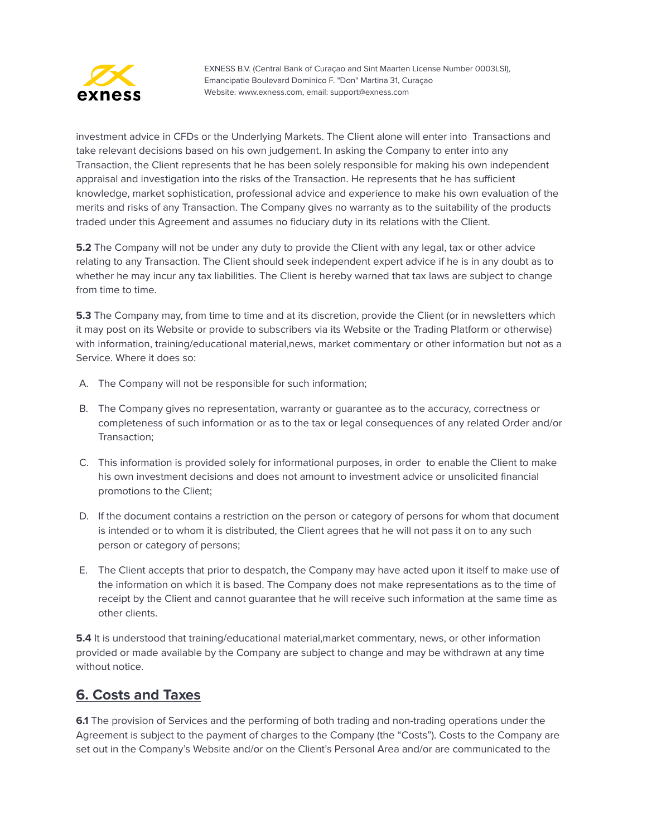

investment advice in CFDs or the Underlying Markets. The Client alone will enter into Transactions and take relevant decisions based on his own judgement. In asking the Company to enter into any Transaction, the Client represents that he has been solely responsible for making his own independent appraisal and investigation into the risks of the Transaction. He represents that he has sufficient knowledge, market sophistication, professional advice and experience to make his own evaluation of the merits and risks of any Transaction. The Company gives no warranty as to the suitability of the products traded under this Agreement and assumes no fiduciary duty in its relations with the Client.

**5.2** The Company will not be under any duty to provide the Client with any legal, tax or other advice relating to any Transaction. The Client should seek independent expert advice if he is in any doubt as to whether he may incur any tax liabilities. The Client is hereby warned that tax laws are subject to change from time to time.

**5.3** The Company may, from time to time and at its discretion, provide the Client (or in newsletters which it may post on its Website or provide to subscribers via its Website or the Trading Platform or otherwise) with information, training/educational material,news, market commentary or other information but not as a Service. Where it does so:

- A. The Company will not be responsible for such information;
- B. The Company gives no representation, warranty or guarantee as to the accuracy, correctness or completeness of such information or as to the tax or legal consequences of any related Order and/or Transaction;
- C. This information is provided solely for informational purposes, in order to enable the Client to make his own investment decisions and does not amount to investment advice or unsolicited financial promotions to the Client;
- D. If the document contains a restriction on the person or category of persons for whom that document is intended or to whom it is distributed, the Client agrees that he will not pass it on to any such person or category of persons;
- E. The Client accepts that prior to despatch, the Company may have acted upon it itself to make use of the information on which it is based. The Company does not make representations as to the time of receipt by the Client and cannot guarantee that he will receive such information at the same time as other clients.

**5.4** It is understood that training/educational material,market commentary, news, or other information provided or made available by the Company are subject to change and may be withdrawn at any time without notice.

#### <span id="page-12-0"></span>**6. Costs and Taxes**

**6.1** The provision of Services and the performing of both trading and non-trading operations under the Agreement is subject to the payment of charges to the Company (the "Costs"). Costs to the Company are set out in the Company's Website and/or on the Client's Personal Area and/or are communicated to the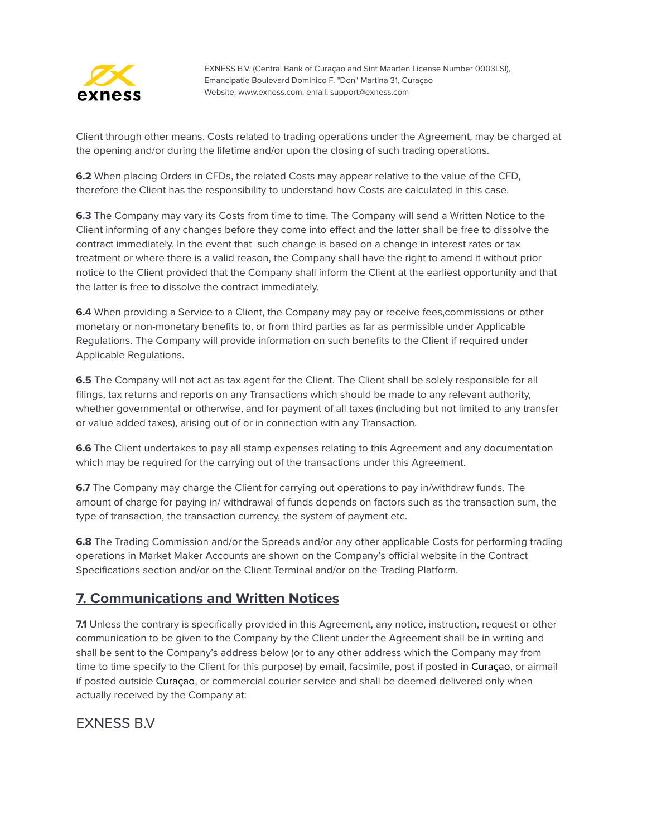

Client through other means. Costs related to trading operations under the Agreement, may be charged at the opening and/or during the lifetime and/or upon the closing of such trading operations.

**6.2** When placing Orders in CFDs, the related Costs may appear relative to the value of the CFD, therefore the Client has the responsibility to understand how Costs are calculated in this case.

**6.3** The Company may vary its Costs from time to time. The Company will send a Written Notice to the Client informing of any changes before they come into effect and the latter shall be free to dissolve the contract immediately. In the event that such change is based on a change in interest rates or tax treatment or where there is a valid reason, the Company shall have the right to amend it without prior notice to the Client provided that the Company shall inform the Client at the earliest opportunity and that the latter is free to dissolve the contract immediately.

**6.4** When providing a Service to a Client, the Company may pay or receive fees,commissions or other monetary or non-monetary benefits to, or from third parties as far as permissible under Applicable Regulations. The Company will provide information on such benefits to the Client if required under Applicable Regulations.

**6.5** The Company will not act as tax agent for the Client. The Client shall be solely responsible for all filings, tax returns and reports on any Transactions which should be made to any relevant authority, whether governmental or otherwise, and for payment of all taxes (including but not limited to any transfer or value added taxes), arising out of or in connection with any Transaction.

**6.6** The Client undertakes to pay all stamp expenses relating to this Agreement and any documentation which may be required for the carrying out of the transactions under this Agreement.

**6.7** The Company may charge the Client for carrying out operations to pay in/withdraw funds. The amount of charge for paying in/ withdrawal of funds depends on factors such as the transaction sum, the type of transaction, the transaction currency, the system of payment etc.

**6.8** The Trading Commission and/or the Spreads and/or any other applicable Costs for performing trading operations in Market Maker Accounts are shown on the Company's official website in the Contract Specifications section and/or on the Client Terminal and/or on the Trading Platform.

#### <span id="page-13-0"></span>**7. Communications and Written Notices**

**7.1** Unless the contrary is specifically provided in this Agreement, any notice, instruction, request or other communication to be given to the Company by the Client under the Agreement shall be in writing and shall be sent to the Company's address below (or to any other address which the Company may from time to time specify to the Client for this purpose) by email, facsimile, post if posted in Curaçao, or airmail if posted outside Curaçao, or commercial courier service and shall be deemed delivered only when actually received by the Company at:

#### EXNESS B.V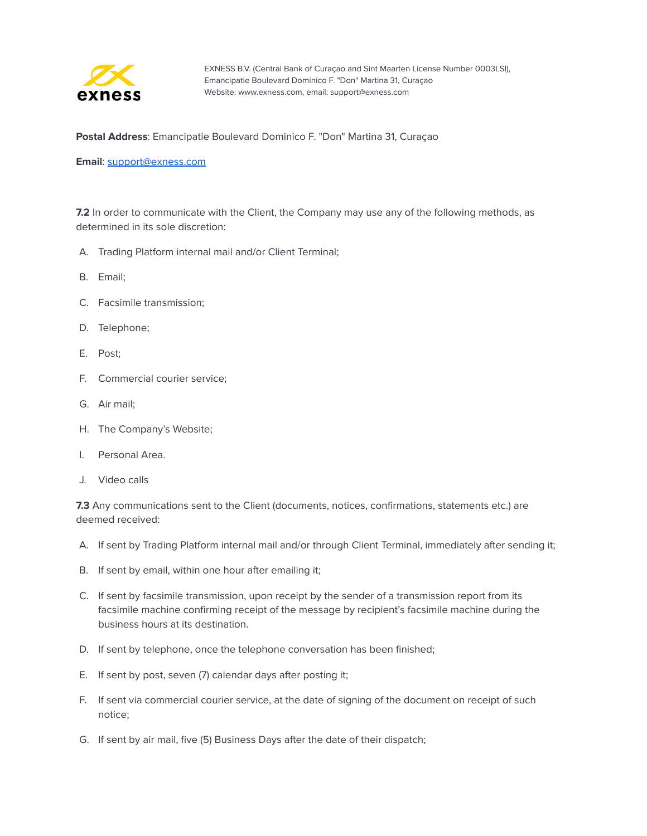

**Postal Address**: Emancipatie Boulevard Dominico F. "Don" Martina 31, Curaçao

**Email**: [support@exness.com](mailto:support@exness.com)

**7.2** In order to communicate with the Client, the Company may use any of the following methods, as determined in its sole discretion:

- A. Trading Platform internal mail and/or Client Terminal;
- B. Email;
- C. Facsimile transmission;
- D. Telephone;
- E. Post;
- F. Commercial courier service;
- G. Air mail;
- H. The Company's Website;
- I. Personal Area.
- J. Video calls

**7.3** Any communications sent to the Client (documents, notices, confirmations, statements etc.) are deemed received:

- A. If sent by Trading Platform internal mail and/or through Client Terminal, immediately after sending it;
- B. If sent by email, within one hour after emailing it;
- C. If sent by facsimile transmission, upon receipt by the sender of a transmission report from its facsimile machine confirming receipt of the message by recipient's facsimile machine during the business hours at its destination.
- D. If sent by telephone, once the telephone conversation has been finished;
- E. If sent by post, seven (7) calendar days after posting it;
- F. If sent via commercial courier service, at the date of signing of the document on receipt of such notice;
- G. If sent by air mail, five (5) Business Days after the date of their dispatch;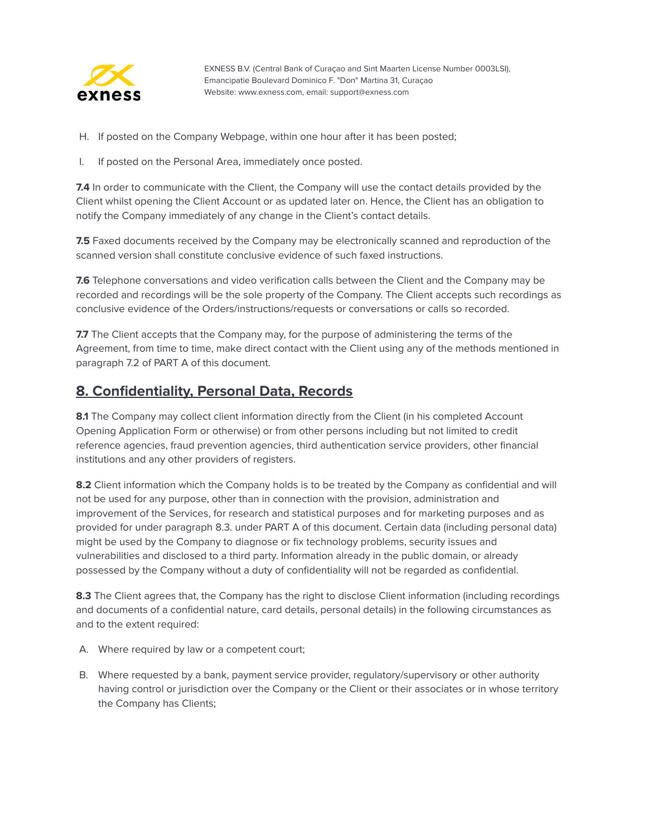

- H. If posted on the Company Webpage, within one hour after it has been posted;
- I. If posted on the Personal Area, immediately once posted.

**7.4** In order to communicate with the Client, the Company will use the contact details provided by the Client whilst opening the Client Account or as updated later on. Hence, the Client has an obligation to notify the Company immediately of any change in the Client's contact details.

**7.5** Faxed documents received by the Company may be electronically scanned and reproduction of the scanned version shall constitute conclusive evidence of such faxed instructions.

**7.6** Telephone conversations and video verification calls between the Client and the Company may be recorded and recordings will be the sole property of the Company. The Client accepts such recordings as conclusive evidence of the Orders/instructions/requests or conversations or calls so recorded.

**7.7** The Client accepts that the Company may, for the purpose of administering the terms of the Agreement, from time to time, make direct contact with the Client using any of the methods mentioned in paragraph 7.2 of PART A of this document.

#### <span id="page-15-0"></span>**8. Confidentiality, Personal Data, Records**

8.1 The Company may collect client information directly from the Client (in his completed Account Opening Application Form or otherwise) or from other persons including but not limited to credit reference agencies, fraud prevention agencies, third authentication service providers, other financial institutions and any other providers of registers.

**8.2** Client information which the Company holds is to be treated by the Company as confidential and will not be used for any purpose, other than in connection with the provision, administration and improvement of the Services, for research and statistical purposes and for marketing purposes and as provided for under paragraph 8.3. under PART A of this document. Certain data (including personal data) might be used by the Company to diagnose or fix technology problems, security issues and vulnerabilities and disclosed to a third party. Information already in the public domain, or already possessed by the Company without a duty of confidentiality will not be regarded as confidential.

**8.3** The Client agrees that, the Company has the right to disclose Client information (including recordings and documents of a confidential nature, card details, personal details) in the following circumstances as and to the extent required:

- A. Where required by law or a competent court;
- B. Where requested by a bank, payment service provider, regulatory/supervisory or other authority having control or jurisdiction over the Company or the Client or their associates or in whose territory the Company has Clients;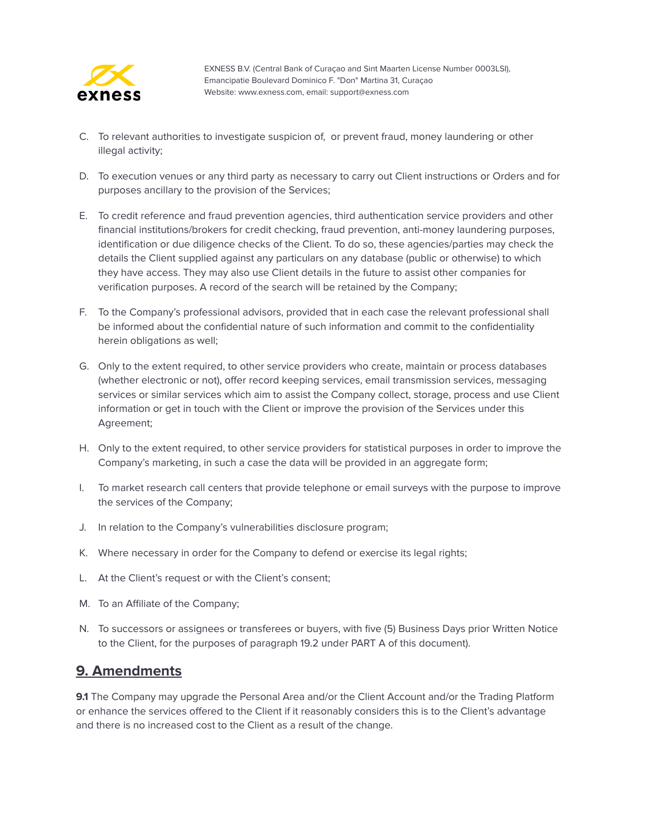

- C. To relevant authorities to investigate suspicion of, or prevent fraud, money laundering or other illegal activity;
- D. To execution venues or any third party as necessary to carry out Client instructions or Orders and for purposes ancillary to the provision of the Services;
- E. To credit reference and fraud prevention agencies, third authentication service providers and other financial institutions/brokers for credit checking, fraud prevention, anti-money laundering purposes, identification or due diligence checks of the Client. To do so, these agencies/parties may check the details the Client supplied against any particulars on any database (public or otherwise) to which they have access. They may also use Client details in the future to assist other companies for verification purposes. A record of the search will be retained by the Company;
- F. To the Company's professional advisors, provided that in each case the relevant professional shall be informed about the confidential nature of such information and commit to the confidentiality herein obligations as well;
- G. Only to the extent required, to other service providers who create, maintain or process databases (whether electronic or not), offer record keeping services, email transmission services, messaging services or similar services which aim to assist the Company collect, storage, process and use Client information or get in touch with the Client or improve the provision of the Services under this Agreement;
- H. Only to the extent required, to other service providers for statistical purposes in order to improve the Company's marketing, in such a case the data will be provided in an aggregate form;
- I. To market research call centers that provide telephone or email surveys with the purpose to improve the services of the Company;
- J. In relation to the Company's vulnerabilities disclosure program;
- K. Where necessary in order for the Company to defend or exercise its legal rights;
- L. At the Client's request or with the Client's consent;
- M. To an Affiliate of the Company;
- N. To successors or assignees or transferees or buyers, with five (5) Business Days prior Written Notice to the Client, for the purposes of paragraph 19.2 under PART A of this document).

#### <span id="page-16-0"></span>**9. Amendments**

**9.1** The Company may upgrade the Personal Area and/or the Client Account and/or the Trading Platform or enhance the services offered to the Client if it reasonably considers this is to the Client's advantage and there is no increased cost to the Client as a result of the change.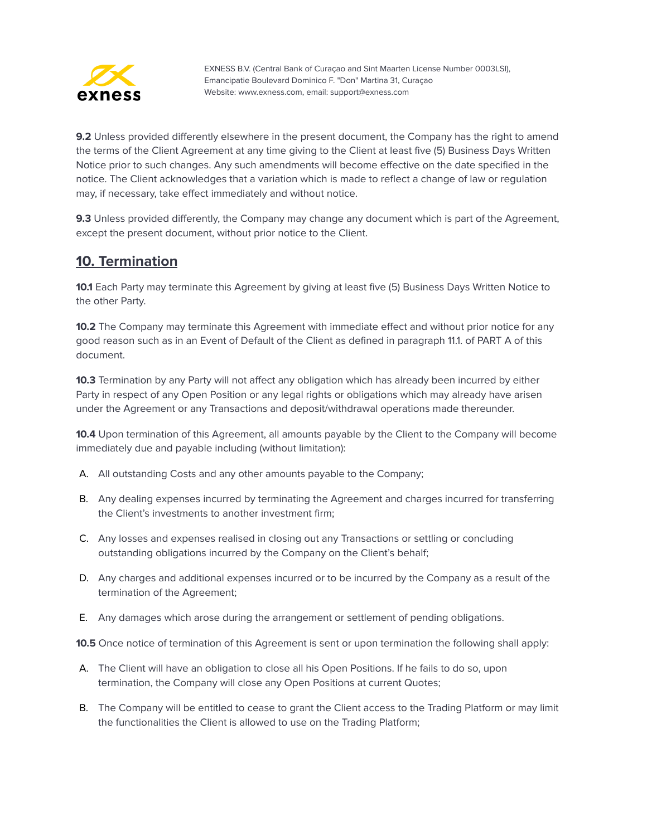

**9.2** Unless provided differently elsewhere in the present document, the Company has the right to amend the terms of the Client Agreement at any time giving to the Client at least five (5) Business Days Written Notice prior to such changes. Any such amendments will become effective on the date specified in the notice. The Client acknowledges that a variation which is made to reflect a change of law or regulation may, if necessary, take effect immediately and without notice.

**9.3** Unless provided differently, the Company may change any document which is part of the Agreement, except the present document, without prior notice to the Client.

#### <span id="page-17-0"></span>**10. Termination**

**10.1** Each Party may terminate this Agreement by giving at least five (5) Business Days Written Notice to the other Party.

**10.2** The Company may terminate this Agreement with immediate effect and without prior notice for any good reason such as in an Event of Default of the Client as defined in paragraph 11.1. of PART A of this document.

**10.3** Termination by any Party will not affect any obligation which has already been incurred by either Party in respect of any Open Position or any legal rights or obligations which may already have arisen under the Agreement or any Transactions and deposit/withdrawal operations made thereunder.

**10.4** Upon termination of this Agreement, all amounts payable by the Client to the Company will become immediately due and payable including (without limitation):

- A. All outstanding Costs and any other amounts payable to the Company;
- B. Any dealing expenses incurred by terminating the Agreement and charges incurred for transferring the Client's investments to another investment firm;
- C. Any losses and expenses realised in closing out any Transactions or settling or concluding outstanding obligations incurred by the Company on the Client's behalf;
- D. Any charges and additional expenses incurred or to be incurred by the Company as a result of the termination of the Agreement;
- E. Any damages which arose during the arrangement or settlement of pending obligations.

**10.5** Once notice of termination of this Agreement is sent or upon termination the following shall apply:

- A. The Client will have an obligation to close all his Open Positions. If he fails to do so, upon termination, the Company will close any Open Positions at current Quotes;
- B. The Company will be entitled to cease to grant the Client access to the Trading Platform or may limit the functionalities the Client is allowed to use on the Trading Platform;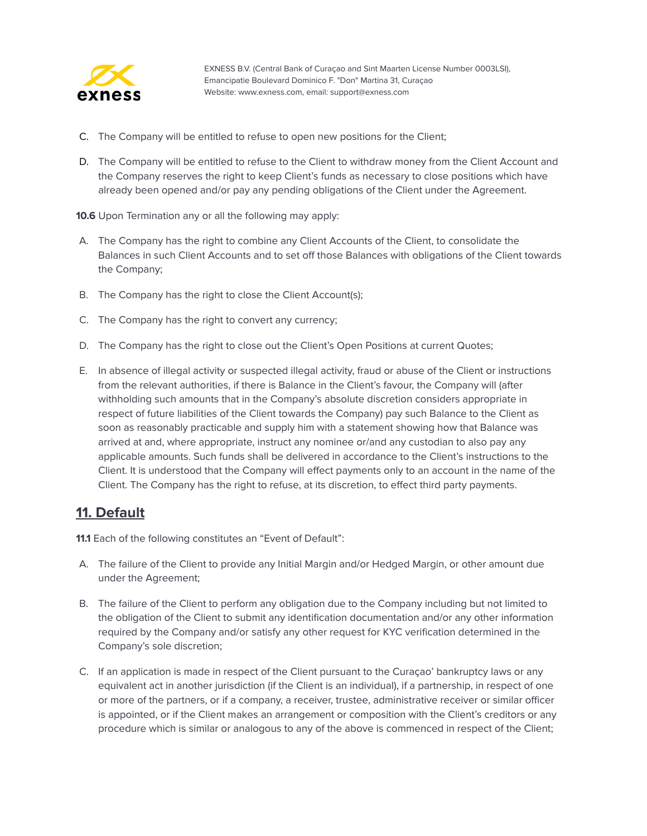

- C. The Company will be entitled to refuse to open new positions for the Client;
- D. The Company will be entitled to refuse to the Client to withdraw money from the Client Account and the Company reserves the right to keep Client's funds as necessary to close positions which have already been opened and/or pay any pending obligations of the Client under the Agreement.

**10.6** Upon Termination any or all the following may apply:

- A. The Company has the right to combine any Client Accounts of the Client, to consolidate the Balances in such Client Accounts and to set off those Balances with obligations of the Client towards the Company;
- B. The Company has the right to close the Client Account(s);
- C. The Company has the right to convert any currency;
- D. The Company has the right to close out the Client's Open Positions at current Quotes;
- E. In absence of illegal activity or suspected illegal activity, fraud or abuse of the Client or instructions from the relevant authorities, if there is Balance in the Client's favour, the Company will (after withholding such amounts that in the Company's absolute discretion considers appropriate in respect of future liabilities of the Client towards the Company) pay such Balance to the Client as soon as reasonably practicable and supply him with a statement showing how that Balance was arrived at and, where appropriate, instruct any nominee or/and any custodian to also pay any applicable amounts. Such funds shall be delivered in accordance to the Client's instructions to the Client. It is understood that the Company will effect payments only to an account in the name of the Client. The Company has the right to refuse, at its discretion, to effect third party payments.

#### <span id="page-18-0"></span>**11. Default**

**11.1** Each of the following constitutes an "Event of Default":

- A. The failure of the Client to provide any Initial Margin and/or Hedged Margin, or other amount due under the Agreement;
- B. The failure of the Client to perform any obligation due to the Company including but not limited to the obligation of the Client to submit any identification documentation and/or any other information required by the Company and/or satisfy any other request for KYC verification determined in the Company's sole discretion;
- C. If an application is made in respect of the Client pursuant to the Curaçao' bankruptcy laws or any equivalent act in another jurisdiction (if the Client is an individual), if a partnership, in respect of one or more of the partners, or if a company, a receiver, trustee, administrative receiver or similar officer is appointed, or if the Client makes an arrangement or composition with the Client's creditors or any procedure which is similar or analogous to any of the above is commenced in respect of the Client;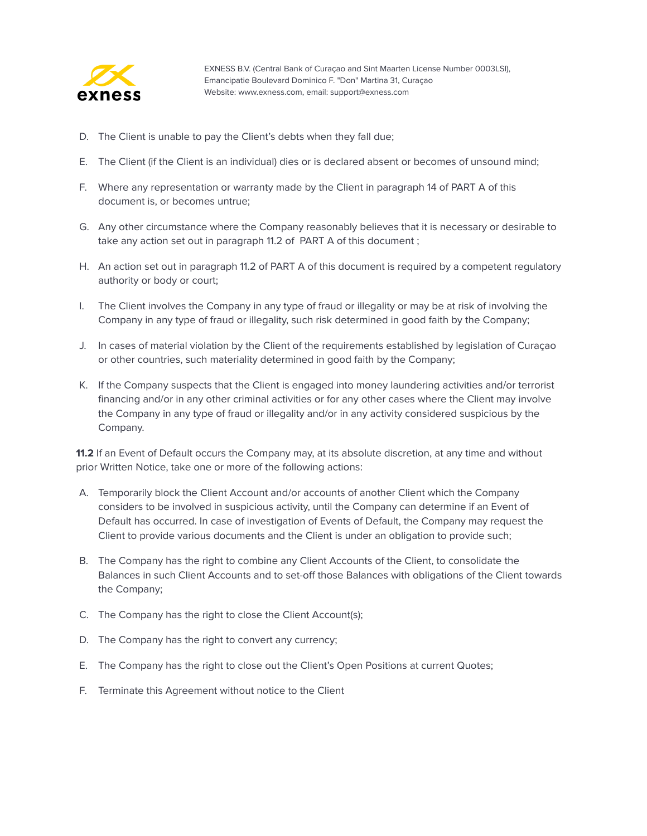

- D. The Client is unable to pay the Client's debts when they fall due;
- E. The Client (if the Client is an individual) dies or is declared absent or becomes of unsound mind;
- F. Where any representation or warranty made by the Client in paragraph 14 of PART A of this document is, or becomes untrue;
- G. Any other circumstance where the Company reasonably believes that it is necessary or desirable to take any action set out in paragraph 11.2 of PART A of this document ;
- H. An action set out in paragraph 11.2 of PART A of this document is required by a competent regulatory authority or body or court;
- I. The Client involves the Company in any type of fraud or illegality or may be at risk of involving the Company in any type of fraud or illegality, such risk determined in good faith by the Company;
- J. In cases of material violation by the Client of the requirements established by legislation of Curaçao or other countries, such materiality determined in good faith by the Company;
- K. If the Company suspects that the Client is engaged into money laundering activities and/or terrorist financing and/or in any other criminal activities or for any other cases where the Client may involve the Company in any type of fraud or illegality and/or in any activity considered suspicious by the Company.

**11.2** If an Event of Default occurs the Company may, at its absolute discretion, at any time and without prior Written Notice, take one or more of the following actions:

- A. Temporarily block the Client Account and/or accounts of another Client which the Company considers to be involved in suspicious activity, until the Company can determine if an Event of Default has occurred. In case of investigation of Events of Default, the Company may request the Client to provide various documents and the Client is under an obligation to provide such;
- B. The Company has the right to combine any Client Accounts of the Client, to consolidate the Balances in such Client Accounts and to set-off those Balances with obligations of the Client towards the Company;
- C. The Company has the right to close the Client Account(s);
- D. The Company has the right to convert any currency;
- E. The Company has the right to close out the Client's Open Positions at current Quotes;
- F. Terminate this Agreement without notice to the Client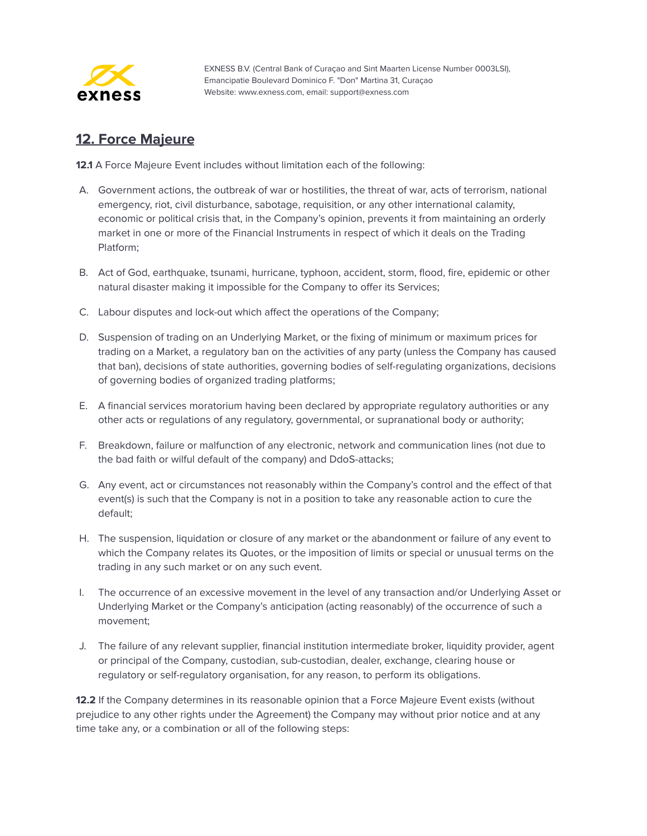

### <span id="page-20-0"></span>**12. Force Majeure**

**12.1** A Force Majeure Event includes without limitation each of the following:

- A. Government actions, the outbreak of war or hostilities, the threat of war, acts of terrorism, national emergency, riot, civil disturbance, sabotage, requisition, or any other international calamity, economic or political crisis that, in the Company's opinion, prevents it from maintaining an orderly market in one or more of the Financial Instruments in respect of which it deals on the Trading Platform;
- B. Act of God, earthquake, tsunami, hurricane, typhoon, accident, storm, flood, fire, epidemic or other natural disaster making it impossible for the Company to offer its Services;
- C. Labour disputes and lock-out which affect the operations of the Company;
- D. Suspension of trading on an Underlying Market, or the fixing of minimum or maximum prices for trading on a Market, a regulatory ban on the activities of any party (unless the Company has caused that ban), decisions of state authorities, governing bodies of self-regulating organizations, decisions of governing bodies of organized trading platforms;
- E. A financial services moratorium having been declared by appropriate regulatory authorities or any other acts or regulations of any regulatory, governmental, or supranational body or authority;
- F. Breakdown, failure or malfunction of any electronic, network and communication lines (not due to the bad faith or wilful default of the company) and DdoS-attacks;
- G. Any event, act or circumstances not reasonably within the Company's control and the effect of that event(s) is such that the Company is not in a position to take any reasonable action to cure the default;
- H. The suspension, liquidation or closure of any market or the abandonment or failure of any event to which the Company relates its Quotes, or the imposition of limits or special or unusual terms on the trading in any such market or on any such event.
- I. The occurrence of an excessive movement in the level of any transaction and/or Underlying Asset or Underlying Market or the Company's anticipation (acting reasonably) of the occurrence of such a movement;
- J. The failure of any relevant supplier, financial institution intermediate broker, liquidity provider, agent or principal of the Company, custodian, sub-custodian, dealer, exchange, clearing house or regulatory or self-regulatory organisation, for any reason, to perform its obligations.

**12.2** If the Company determines in its reasonable opinion that a Force Majeure Event exists (without prejudice to any other rights under the Agreement) the Company may without prior notice and at any time take any, or a combination or all of the following steps: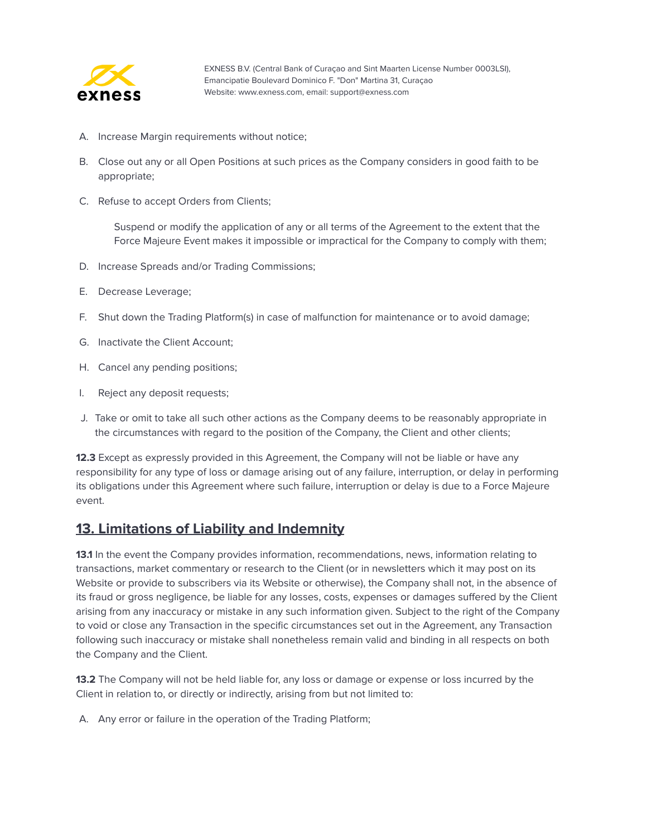

- A. Increase Margin requirements without notice;
- B. Close out any or all Open Positions at such prices as the Company considers in good faith to be appropriate;
- C. Refuse to accept Orders from Clients;

Suspend or modify the application of any or all terms of the Agreement to the extent that the Force Majeure Event makes it impossible or impractical for the Company to comply with them;

- D. Increase Spreads and/or Trading Commissions;
- E. Decrease Leverage;
- F. Shut down the Trading Platform(s) in case of malfunction for maintenance or to avoid damage;
- G. Inactivate the Client Account;
- H. Cancel any pending positions;
- I. Reject any deposit requests;
- J. Take or omit to take all such other actions as the Company deems to be reasonably appropriate in the circumstances with regard to the position of the Company, the Client and other clients;

**12.3** Except as expressly provided in this Agreement, the Company will not be liable or have any responsibility for any type of loss or damage arising out of any failure, interruption, or delay in performing its obligations under this Agreement where such failure, interruption or delay is due to a Force Majeure event.

#### <span id="page-21-0"></span>**13. Limitations of Liability and Indemnity**

**13.1** In the event the Company provides information, recommendations, news, information relating to transactions, market commentary or research to the Client (or in newsletters which it may post on its Website or provide to subscribers via its Website or otherwise), the Company shall not, in the absence of its fraud or gross negligence, be liable for any losses, costs, expenses or damages suffered by the Client arising from any inaccuracy or mistake in any such information given. Subject to the right of the Company to void or close any Transaction in the specific circumstances set out in the Agreement, any Transaction following such inaccuracy or mistake shall nonetheless remain valid and binding in all respects on both the Company and the Client.

**13.2** The Company will not be held liable for, any loss or damage or expense or loss incurred by the Client in relation to, or directly or indirectly, arising from but not limited to:

A. Any error or failure in the operation of the Trading Platform;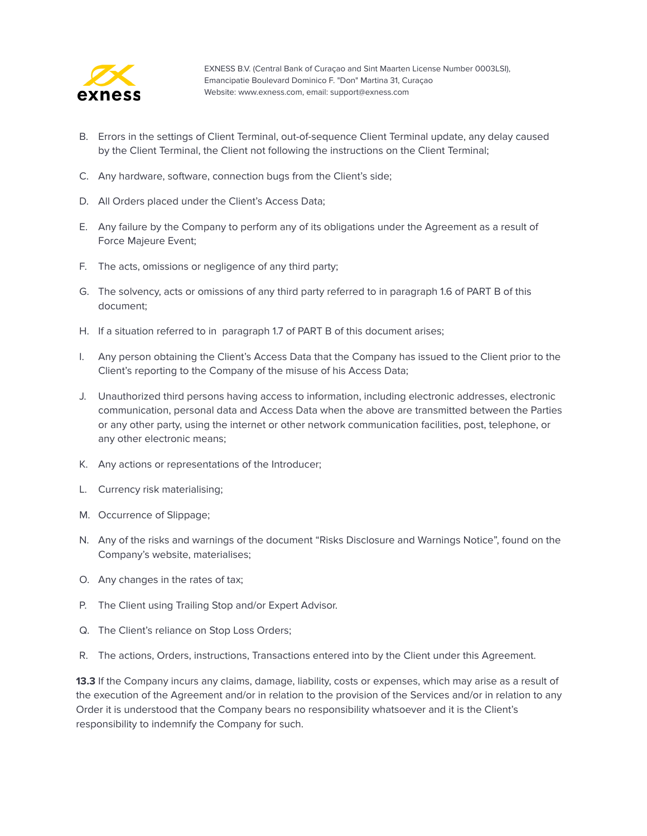

- B. Errors in the settings of Client Terminal, out-of-sequence Client Terminal update, any delay caused by the Client Terminal, the Client not following the instructions on the Client Terminal;
- C. Any hardware, software, connection bugs from the Client's side;
- D. All Orders placed under the Client's Access Data;
- E. Any failure by the Company to perform any of its obligations under the Agreement as a result of Force Majeure Event;
- F. The acts, omissions or negligence of any third party;
- G. The solvency, acts or omissions of any third party referred to in paragraph 1.6 of PART B of this document;
- H. If a situation referred to in paragraph 1.7 of PART B of this document arises;
- I. Any person obtaining the Client's Access Data that the Company has issued to the Client prior to the Client's reporting to the Company of the misuse of his Access Data;
- J. Unauthorized third persons having access to information, including electronic addresses, electronic communication, personal data and Access Data when the above are transmitted between the Parties or any other party, using the internet or other network communication facilities, post, telephone, or any other electronic means;
- K. Any actions or representations of the Introducer;
- L. Currency risk materialising;
- M. Occurrence of Slippage;
- N. Any of the risks and warnings of the document "Risks Disclosure and Warnings Notice", found on the Company's website, materialises;
- O. Any changes in the rates of tax;
- P. The Client using Trailing Stop and/or Expert Advisor.
- Q. The Client's reliance on Stop Loss Orders;
- R. The actions, Orders, instructions, Transactions entered into by the Client under this Agreement.

**13.3** If the Company incurs any claims, damage, liability, costs or expenses, which may arise as a result of the execution of the Agreement and/or in relation to the provision of the Services and/or in relation to any Order it is understood that the Company bears no responsibility whatsoever and it is the Client's responsibility to indemnify the Company for such.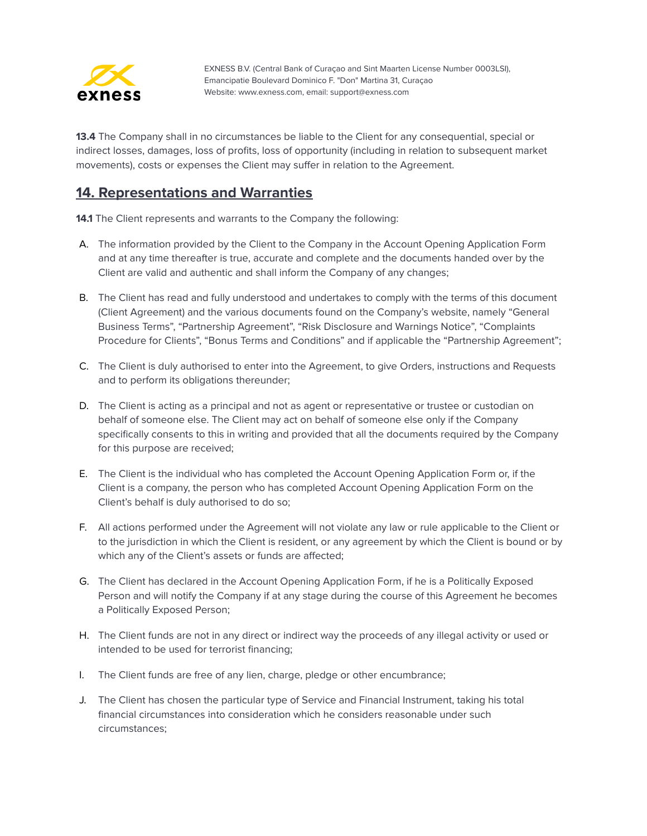

**13.4** The Company shall in no circumstances be liable to the Client for any consequential, special or indirect losses, damages, loss of profits, loss of opportunity (including in relation to subsequent market movements), costs or expenses the Client may suffer in relation to the Agreement.

#### <span id="page-23-0"></span>**14. Representations and Warranties**

**14.1** The Client represents and warrants to the Company the following:

- A. The information provided by the Client to the Company in the Account Opening Application Form and at any time thereafter is true, accurate and complete and the documents handed over by the Client are valid and authentic and shall inform the Company of any changes;
- B. The Client has read and fully understood and undertakes to comply with the terms of this document (Client Agreement) and the various documents found on the Company's website, namely "General Business Terms", "Partnership Agreement", "Risk Disclosure and Warnings Notice", "Complaints Procedure for Clients", "Bonus Terms and Conditions" and if applicable the "Partnership Agreement";
- C. The Client is duly authorised to enter into the Agreement, to give Orders, instructions and Requests and to perform its obligations thereunder;
- D. The Client is acting as a principal and not as agent or representative or trustee or custodian on behalf of someone else. The Client may act on behalf of someone else only if the Company specifically consents to this in writing and provided that all the documents required by the Company for this purpose are received;
- E. The Client is the individual who has completed the Account Opening Application Form or, if the Client is a company, the person who has completed Account Opening Application Form on the Client's behalf is duly authorised to do so;
- F. All actions performed under the Agreement will not violate any law or rule applicable to the Client or to the jurisdiction in which the Client is resident, or any agreement by which the Client is bound or by which any of the Client's assets or funds are affected;
- G. The Client has declared in the Account Opening Application Form, if he is a Politically Exposed Person and will notify the Company if at any stage during the course of this Agreement he becomes a Politically Exposed Person;
- H. The Client funds are not in any direct or indirect way the proceeds of any illegal activity or used or intended to be used for terrorist financing;
- I. The Client funds are free of any lien, charge, pledge or other encumbrance;
- J. The Client has chosen the particular type of Service and Financial Instrument, taking his total financial circumstances into consideration which he considers reasonable under such circumstances;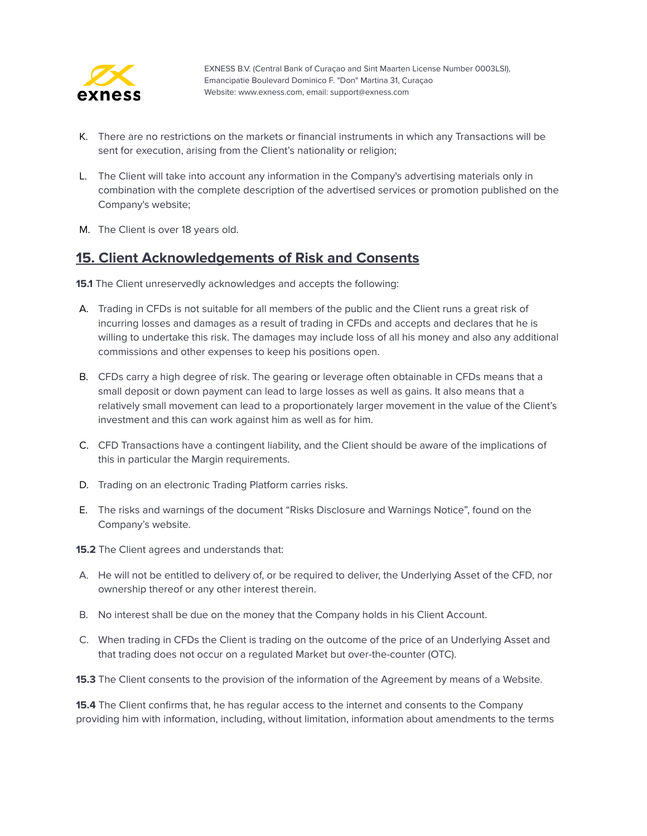

- K. There are no restrictions on the markets or financial instruments in which any Transactions will be sent for execution, arising from the Client's nationality or religion;
- L. The Client will take into account any information in the Company's advertising materials only in combination with the complete description of the advertised services or promotion published on the Company's website;
- M. The Client is over 18 years old.

#### <span id="page-24-0"></span>**15. Client Acknowledgements of Risk and Consents**

**15.1** The Client unreservedly acknowledges and accepts the following:

- A. Trading in CFDs is not suitable for all members of the public and the Client runs a great risk of incurring losses and damages as a result of trading in CFDs and accepts and declares that he is willing to undertake this risk. The damages may include loss of all his money and also any additional commissions and other expenses to keep his positions open.
- B. CFDs carry a high degree of risk. The gearing or leverage often obtainable in CFDs means that a small deposit or down payment can lead to large losses as well as gains. It also means that a relatively small movement can lead to a proportionately larger movement in the value of the Client's investment and this can work against him as well as for him.
- C. CFD Transactions have a contingent liability, and the Client should be aware of the implications of this in particular the Margin requirements.
- D. Trading on an electronic Trading Platform carries risks.
- E. The risks and warnings of the document "Risks Disclosure and Warnings Notice", found on the Company's website.
- **15.2** The Client agrees and understands that:
- A. He will not be entitled to delivery of, or be required to deliver, the Underlying Asset of the CFD, nor ownership thereof or any other interest therein.
- B. No interest shall be due on the money that the Company holds in his Client Account.
- C. When trading in CFDs the Client is trading on the outcome of the price of an Underlying Asset and that trading does not occur on a regulated Market but over-the-counter (OTC).

**15.3** The Client consents to the provision of the information of the Agreement by means of a Website.

**15.4** The Client confirms that, he has regular access to the internet and consents to the Company providing him with information, including, without limitation, information about amendments to the terms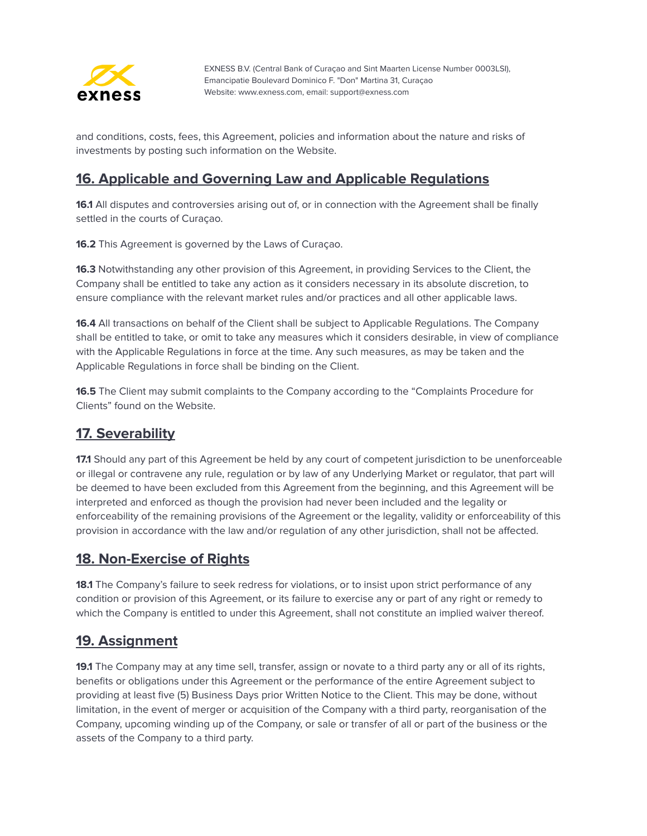

and conditions, costs, fees, this Agreement, policies and information about the nature and risks of investments by posting such information on the Website.

## <span id="page-25-0"></span>**16. Applicable and Governing Law and Applicable Regulations**

**16.1** All disputes and controversies arising out of, or in connection with the Agreement shall be finally settled in the courts of Curaçao.

**16.2** This Agreement is governed by the Laws of Curaçao.

**16.3** Notwithstanding any other provision of this Agreement, in providing Services to the Client, the Company shall be entitled to take any action as it considers necessary in its absolute discretion, to ensure compliance with the relevant market rules and/or practices and all other applicable laws.

**16.4** All transactions on behalf of the Client shall be subject to Applicable Regulations. The Company shall be entitled to take, or omit to take any measures which it considers desirable, in view of compliance with the Applicable Regulations in force at the time. Any such measures, as may be taken and the Applicable Regulations in force shall be binding on the Client.

**16.5** The Client may submit complaints to the Company according to the "Complaints Procedure for Clients" found on the Website.

#### <span id="page-25-1"></span>**17. Severability**

**17.1** Should any part of this Agreement be held by any court of competent jurisdiction to be unenforceable or illegal or contravene any rule, regulation or by law of any Underlying Market or regulator, that part will be deemed to have been excluded from this Agreement from the beginning, and this Agreement will be interpreted and enforced as though the provision had never been included and the legality or enforceability of the remaining provisions of the Agreement or the legality, validity or enforceability of this provision in accordance with the law and/or regulation of any other jurisdiction, shall not be affected.

#### <span id="page-25-2"></span>**18. Non-Exercise of Rights**

**18.1** The Company's failure to seek redress for violations, or to insist upon strict performance of any condition or provision of this Agreement, or its failure to exercise any or part of any right or remedy to which the Company is entitled to under this Agreement, shall not constitute an implied waiver thereof.

#### <span id="page-25-3"></span>**19. Assignment**

**19.1** The Company may at any time sell, transfer, assign or novate to a third party any or all of its rights, benefits or obligations under this Agreement or the performance of the entire Agreement subject to providing at least five (5) Business Days prior Written Notice to the Client. This may be done, without limitation, in the event of merger or acquisition of the Company with a third party, reorganisation of the Company, upcoming winding up of the Company, or sale or transfer of all or part of the business or the assets of the Company to a third party.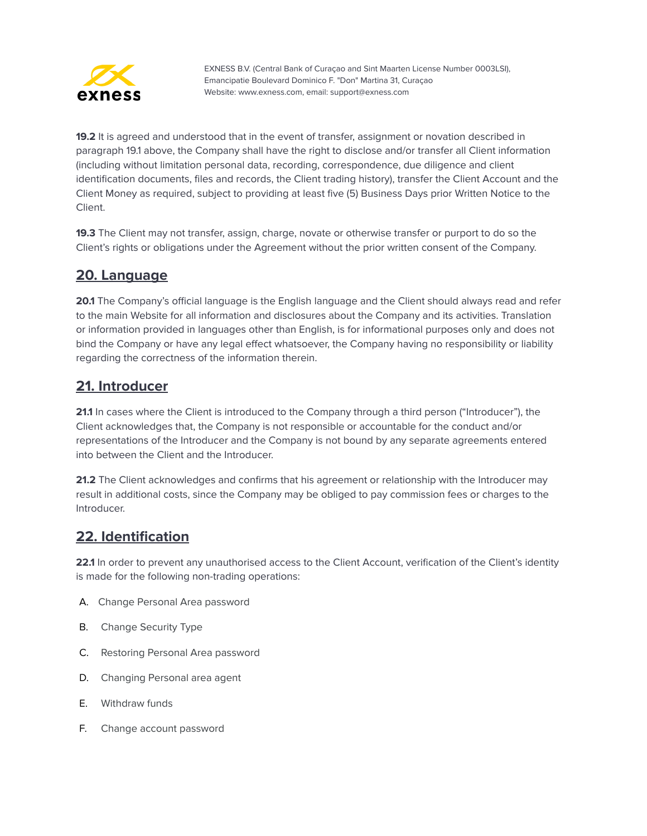

**19.2** It is agreed and understood that in the event of transfer, assignment or novation described in paragraph 19.1 above, the Company shall have the right to disclose and/or transfer all Client information (including without limitation personal data, recording, correspondence, due diligence and client identification documents, files and records, the Client trading history), transfer the Client Account and the Client Money as required, subject to providing at least five (5) Business Days prior Written Notice to the Client.

**19.3** The Client may not transfer, assign, charge, novate or otherwise transfer or purport to do so the Client's rights or obligations under the Agreement without the prior written consent of the Company.

#### <span id="page-26-0"></span>**20. Language**

**20.1** The Company's official language is the English language and the Client should always read and refer to the main Website for all information and disclosures about the Company and its activities. Translation or information provided in languages other than English, is for informational purposes only and does not bind the Company or have any legal effect whatsoever, the Company having no responsibility or liability regarding the correctness of the information therein.

#### <span id="page-26-1"></span>**21. Introducer**

**21.1** In cases where the Client is introduced to the Company through a third person ("Introducer"), the Client acknowledges that, the Company is not responsible or accountable for the conduct and/or representations of the Introducer and the Company is not bound by any separate agreements entered into between the Client and the Introducer.

**21.2** The Client acknowledges and confirms that his agreement or relationship with the Introducer may result in additional costs, since the Company may be obliged to pay commission fees or charges to the Introducer.

#### <span id="page-26-2"></span>**22. Identification**

**22.1** In order to prevent any unauthorised access to the Client Account, verification of the Client's identity is made for the following non-trading operations:

- A. Change Personal Area password
- B. Change Security Type
- C. Restoring Personal Area password
- D. Changing Personal area agent
- E. Withdraw funds
- F. Change account password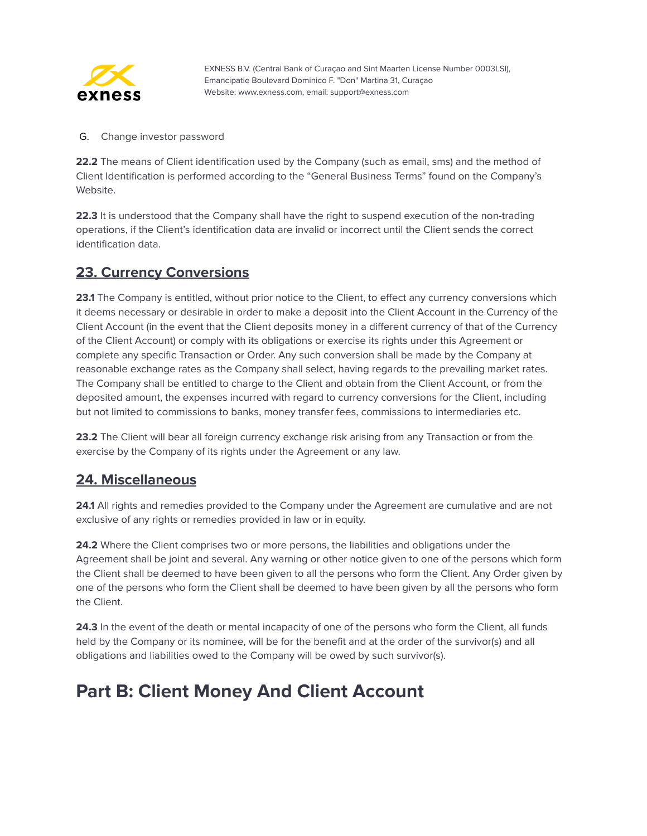

G. Change investor password

**22.2** The means of Client identification used by the Company (such as email, sms) and the method of Client Identification is performed according to the "General Business Terms" found on the Company's Website.

**22.3** It is understood that the Company shall have the right to suspend execution of the non-trading operations, if the Client's identification data are invalid or incorrect until the Client sends the correct identification data.

#### <span id="page-27-0"></span>**23. Currency Conversions**

**23.1** The Company is entitled, without prior notice to the Client, to effect any currency conversions which it deems necessary or desirable in order to make a deposit into the Client Account in the Currency of the Client Account (in the event that the Client deposits money in a different currency of that of the Currency of the Client Account) or comply with its obligations or exercise its rights under this Agreement or complete any specific Transaction or Order. Any such conversion shall be made by the Company at reasonable exchange rates as the Company shall select, having regards to the prevailing market rates. The Company shall be entitled to charge to the Client and obtain from the Client Account, or from the deposited amount, the expenses incurred with regard to currency conversions for the Client, including but not limited to commissions to banks, money transfer fees, commissions to intermediaries etc.

**23.2** The Client will bear all foreign currency exchange risk arising from any Transaction or from the exercise by the Company of its rights under the Agreement or any law.

#### <span id="page-27-1"></span>**24. Miscellaneous**

**24.1** All rights and remedies provided to the Company under the Agreement are cumulative and are not exclusive of any rights or remedies provided in law or in equity.

**24.2** Where the Client comprises two or more persons, the liabilities and obligations under the Agreement shall be joint and several. Any warning or other notice given to one of the persons which form the Client shall be deemed to have been given to all the persons who form the Client. Any Order given by one of the persons who form the Client shall be deemed to have been given by all the persons who form the Client.

**24.3** In the event of the death or mental incapacity of one of the persons who form the Client, all funds held by the Company or its nominee, will be for the benefit and at the order of the survivor(s) and all obligations and liabilities owed to the Company will be owed by such survivor(s).

# <span id="page-27-2"></span>**Part B: Client Money And Client Account**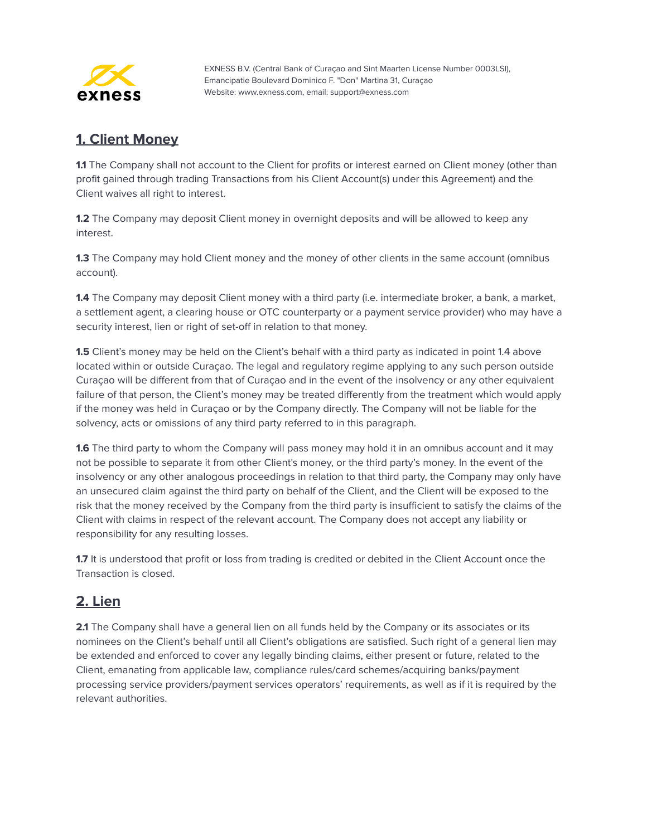

### <span id="page-28-0"></span>**1. Client Money**

**1.1** The Company shall not account to the Client for profits or interest earned on Client money (other than profit gained through trading Transactions from his Client Account(s) under this Agreement) and the Client waives all right to interest.

**1.2** The Company may deposit Client money in overnight deposits and will be allowed to keep any interest.

**1.3** The Company may hold Client money and the money of other clients in the same account (omnibus account).

**1.4** The Company may deposit Client money with a third party (i.e. intermediate broker, a bank, a market, a settlement agent, a clearing house or OTC counterparty or a payment service provider) who may have a security interest, lien or right of set-off in relation to that money.

**1.5** Client's money may be held on the Client's behalf with a third party as indicated in point 1.4 above located within or outside Curaçao. The legal and regulatory regime applying to any such person outside Curaçao will be different from that of Curaçao and in the event of the insolvency or any other equivalent failure of that person, the Client's money may be treated differently from the treatment which would apply if the money was held in Curaçao or by the Company directly. The Company will not be liable for the solvency, acts or omissions of any third party referred to in this paragraph.

**1.6** The third party to whom the Company will pass money may hold it in an omnibus account and it may not be possible to separate it from other Client's money, or the third party's money. In the event of the insolvency or any other analogous proceedings in relation to that third party, the Company may only have an unsecured claim against the third party on behalf of the Client, and the Client will be exposed to the risk that the money received by the Company from the third party is insufficient to satisfy the claims of the Client with claims in respect of the relevant account. The Company does not accept any liability or responsibility for any resulting losses.

**1.7** It is understood that profit or loss from trading is credited or debited in the Client Account once the Transaction is closed.

#### <span id="page-28-1"></span>**2. Lien**

2.1 The Company shall have a general lien on all funds held by the Company or its associates or its nominees on the Client's behalf until all Client's obligations are satisfied. Such right of a general lien may be extended and enforced to cover any legally binding claims, either present or future, related to the Client, emanating from applicable law, compliance rules/card schemes/acquiring banks/payment processing service providers/payment services operators' requirements, as well as if it is required by the relevant authorities.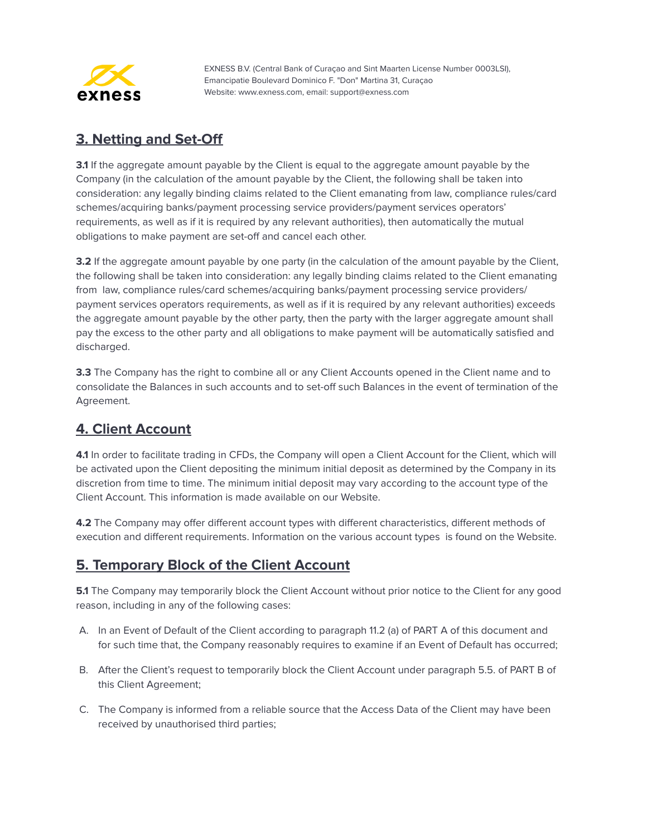

### <span id="page-29-0"></span>**3. Netting and Set-Off**

**3.1** If the aggregate amount payable by the Client is equal to the aggregate amount payable by the Company (in the calculation of the amount payable by the Client, the following shall be taken into consideration: any legally binding claims related to the Client emanating from law, compliance rules/card schemes/acquiring banks/payment processing service providers/payment services operators' requirements, as well as if it is required by any relevant authorities), then automatically the mutual obligations to make payment are set-off and cancel each other.

**3.2** If the aggregate amount payable by one party (in the calculation of the amount payable by the Client, the following shall be taken into consideration: any legally binding claims related to the Client emanating from law, compliance rules/card schemes/acquiring banks/payment processing service providers/ payment services operators requirements, as well as if it is required by any relevant authorities) exceeds the aggregate amount payable by the other party, then the party with the larger aggregate amount shall pay the excess to the other party and all obligations to make payment will be automatically satisfied and discharged.

**3.3** The Company has the right to combine all or any Client Accounts opened in the Client name and to consolidate the Balances in such accounts and to set-off such Balances in the event of termination of the Agreement.

## <span id="page-29-1"></span>**4. Client Account**

**4.1** In order to facilitate trading in CFDs, the Company will open a Client Account for the Client, which will be activated upon the Client depositing the minimum initial deposit as determined by the Company in its discretion from time to time. The minimum initial deposit may vary according to the account type of the Client Account. This information is made available on our Website.

**4.2** The Company may offer different account types with different characteristics, different methods of execution and different requirements. Information on the various account types is found on the Website.

#### <span id="page-29-2"></span>**5. Temporary Block of the Client Account**

**5.1** The Company may temporarily block the Client Account without prior notice to the Client for any good reason, including in any of the following cases:

- A. In an Event of Default of the Client according to paragraph 11.2 (a) of PART A of this document and for such time that, the Company reasonably requires to examine if an Event of Default has occurred;
- B. After the Client's request to temporarily block the Client Account under paragraph 5.5. of PART B of this Client Agreement;
- C. The Company is informed from a reliable source that the Access Data of the Client may have been received by unauthorised third parties;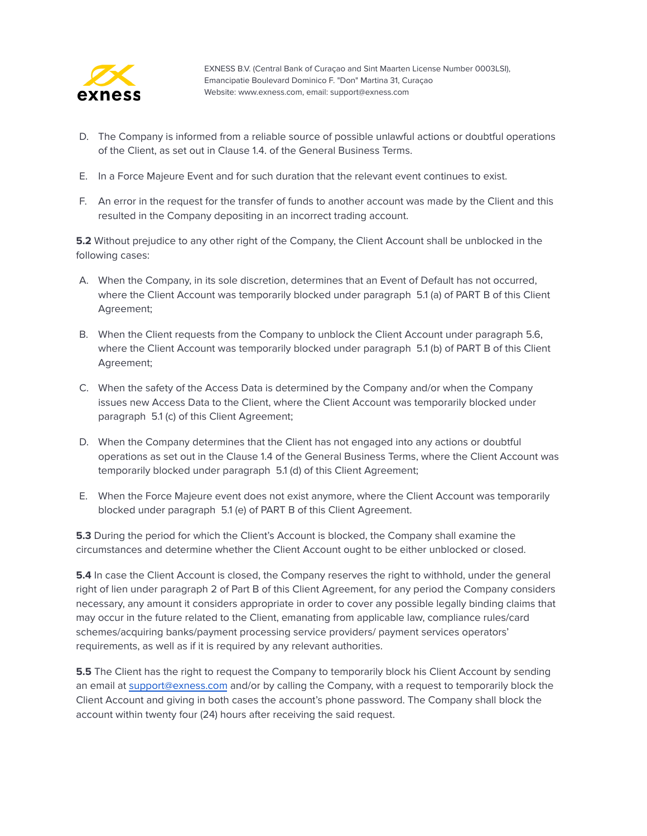

- D. The Company is informed from a reliable source of possible unlawful actions or doubtful operations of the Client, as set out in Clause 1.4. of the General Business Terms.
- E. In a Force Majeure Event and for such duration that the relevant event continues to exist.
- F. An error in the request for the transfer of funds to another account was made by the Client and this resulted in the Company depositing in an incorrect trading account.

**5.2** Without prejudice to any other right of the Company, the Client Account shall be unblocked in the following cases:

- A. When the Company, in its sole discretion, determines that an Event of Default has not occurred, where the Client Account was temporarily blocked under paragraph 5.1 (a) of PART B of this Client Agreement;
- B. When the Client requests from the Company to unblock the Client Account under paragraph 5.6, where the Client Account was temporarily blocked under paragraph 5.1 (b) of PART B of this Client Agreement;
- C. When the safety of the Access Data is determined by the Company and/or when the Company issues new Access Data to the Client, where the Client Account was temporarily blocked under paragraph 5.1 (c) of this Client Agreement;
- D. When the Company determines that the Client has not engaged into any actions or doubtful operations as set out in the Clause 1.4 of the General Business Terms, where the Client Account was temporarily blocked under paragraph 5.1 (d) of this Client Agreement;
- E. When the Force Majeure event does not exist anymore, where the Client Account was temporarily blocked under paragraph 5.1 (e) of PART B of this Client Agreement.

**5.3** During the period for which the Client's Account is blocked, the Company shall examine the circumstances and determine whether the Client Account ought to be either unblocked or closed.

**5.4** In case the Client Account is closed, the Company reserves the right to withhold, under the general right of lien under paragraph 2 of Part B of this Client Agreement, for any period the Company considers necessary, any amount it considers appropriate in order to cover any possible legally binding claims that may occur in the future related to the Client, emanating from applicable law, compliance rules/card schemes/acquiring banks/payment processing service providers/ payment services operators' requirements, as well as if it is required by any relevant authorities.

**5.5** The Client has the right to request the Company to temporarily block his Client Account by sending an email at [support@exness.com](mailto:support@exness.com) and/or by calling the Company, with a request to temporarily block the Client Account and giving in both cases the account's phone password. The Company shall block the account within twenty four (24) hours after receiving the said request.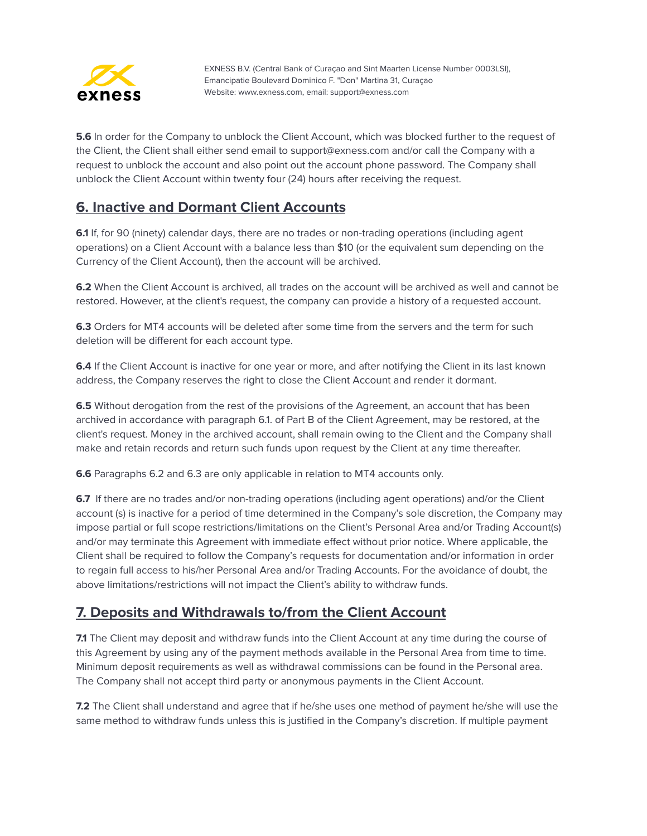

**5.6** In order for the Company to unblock the Client Account, which was blocked further to the request of the Client, the Client shall either send email to support@exness.com and/or call the Company with a request to unblock the account and also point out the account phone password. The Company shall unblock the Client Account within twenty four (24) hours after receiving the request.

## <span id="page-31-0"></span>**6. Inactive and Dormant Client Accounts**

**6.1** If, for 90 (ninety) calendar days, there are no trades or non-trading operations (including agent operations) on a Client Account with a balance less than \$10 (or the equivalent sum depending on the Currency of the Client Account), then the account will be archived.

**6.2** When the Client Account is archived, all trades on the account will be archived as well and cannot be restored. However, at the client's request, the company can provide a history of a requested account.

**6.3** Orders for MT4 accounts will be deleted after some time from the servers and the term for such deletion will be different for each account type.

**6.4** If the Client Account is inactive for one year or more, and after notifying the Client in its last known address, the Company reserves the right to close the Client Account and render it dormant.

**6.5** Without derogation from the rest of the provisions of the Agreement, an account that has been archived in accordance with paragraph 6.1. of Part B of the Client Agreement, may be restored, at the client's request. Money in the archived account, shall remain owing to the Client and the Company shall make and retain records and return such funds upon request by the Client at any time thereafter.

**6.6** Paragraphs 6.2 and 6.3 are only applicable in relation to MT4 accounts only.

**6.7** If there are no trades and/or non-trading operations (including agent operations) and/or the Client account (s) is inactive for a period of time determined in the Company's sole discretion, the Company may impose partial or full scope restrictions/limitations on the Client's Personal Area and/or Trading Account(s) and/or may terminate this Agreement with immediate effect without prior notice. Where applicable, the Client shall be required to follow the Company's requests for documentation and/or information in order to regain full access to his/her Personal Area and/or Trading Accounts. For the avoidance of doubt, the above limitations/restrictions will not impact the Client's ability to withdraw funds.

#### <span id="page-31-1"></span>**7. Deposits and Withdrawals to/from the Client Account**

**7.1** The Client may deposit and withdraw funds into the Client Account at any time during the course of this Agreement by using any of the payment methods available in the Personal Area from time to time. Minimum deposit requirements as well as withdrawal commissions can be found in the Personal area. The Company shall not accept third party or anonymous payments in the Client Account.

**7.2** The Client shall understand and agree that if he/she uses one method of payment he/she will use the same method to withdraw funds unless this is justified in the Company's discretion. If multiple payment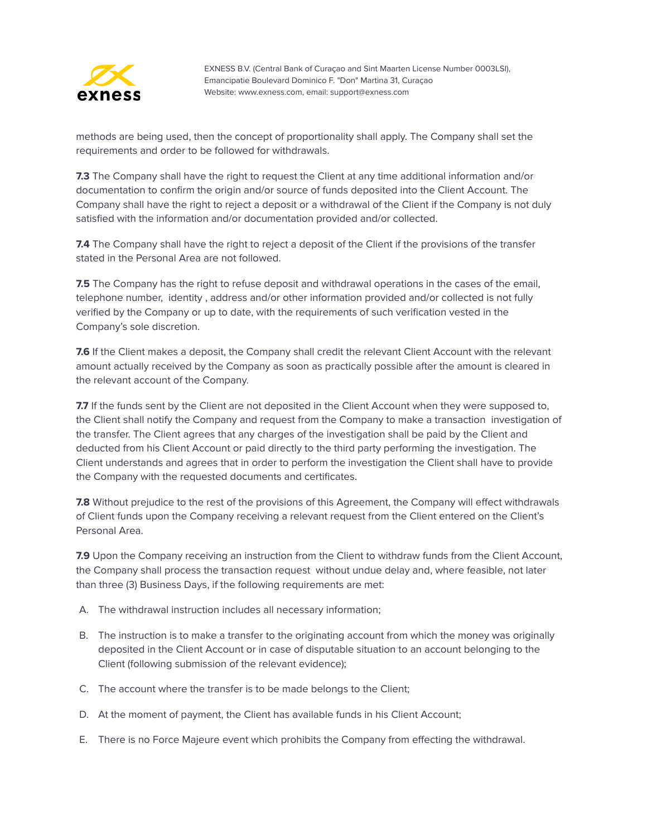

methods are being used, then the concept of proportionality shall apply. The Company shall set the requirements and order to be followed for withdrawals.

**7.3** The Company shall have the right to request the Client at any time additional information and/or documentation to confirm the origin and/or source of funds deposited into the Client Account. The Company shall have the right to reject a deposit or a withdrawal of the Client if the Company is not duly satisfied with the information and/or documentation provided and/or collected.

**7.4** The Company shall have the right to reject a deposit of the Client if the provisions of the transfer stated in the Personal Area are not followed.

**7.5** The Company has the right to refuse deposit and withdrawal operations in the cases of the email, telephone number, identity , address and/or other information provided and/or collected is not fully verified by the Company or up to date, with the requirements of such verification vested in the Company's sole discretion.

**7.6** If the Client makes a deposit, the Company shall credit the relevant Client Account with the relevant amount actually received by the Company as soon as practically possible after the amount is cleared in the relevant account of the Company.

**7.7** If the funds sent by the Client are not deposited in the Client Account when they were supposed to, the Client shall notify the Company and request from the Company to make a transaction investigation of the transfer. The Client agrees that any charges of the investigation shall be paid by the Client and deducted from his Client Account or paid directly to the third party performing the investigation. The Client understands and agrees that in order to perform the investigation the Client shall have to provide the Company with the requested documents and certificates.

**7.8** Without prejudice to the rest of the provisions of this Agreement, the Company will effect withdrawals of Client funds upon the Company receiving a relevant request from the Client entered on the Client's Personal Area.

**7.9** Upon the Company receiving an instruction from the Client to withdraw funds from the Client Account, the Company shall process the transaction request without undue delay and, where feasible, not later than three (3) Business Days, if the following requirements are met:

- A. The withdrawal instruction includes all necessary information;
- B. The instruction is to make a transfer to the originating account from which the money was originally deposited in the Client Account or in case of disputable situation to an account belonging to the Client (following submission of the relevant evidence);
- C. The account where the transfer is to be made belongs to the Client;
- D. At the moment of payment, the Client has available funds in his Client Account;
- E. There is no Force Majeure event which prohibits the Company from effecting the withdrawal.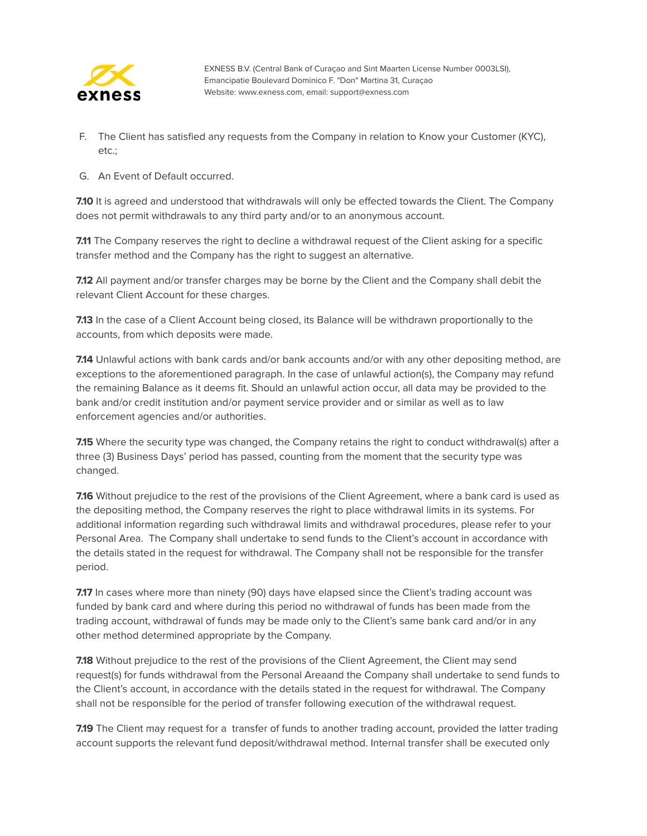

- F. The Client has satisfied any requests from the Company in relation to Know your Customer (KYC), etc.;
- G. An Event of Default occurred.

**7.10** It is agreed and understood that withdrawals will only be effected towards the Client. The Company does not permit withdrawals to any third party and/or to an anonymous account.

**7.11** The Company reserves the right to decline a withdrawal request of the Client asking for a specific transfer method and the Company has the right to suggest an alternative.

**7.12** All payment and/or transfer charges may be borne by the Client and the Company shall debit the relevant Client Account for these charges.

**7.13** In the case of a Client Account being closed, its Balance will be withdrawn proportionally to the accounts, from which deposits were made.

**7.14** Unlawful actions with bank cards and/or bank accounts and/or with any other depositing method, are exceptions to the aforementioned paragraph. In the case of unlawful action(s), the Company may refund the remaining Balance as it deems fit. Should an unlawful action occur, all data may be provided to the bank and/or credit institution and/or payment service provider and or similar as well as to law enforcement agencies and/or authorities.

**7.15** Where the security type was changed, the Company retains the right to conduct withdrawal(s) after a three (3) Business Days' period has passed, counting from the moment that the security type was changed.

**7.16** Without prejudice to the rest of the provisions of the Client Agreement, where a bank card is used as the depositing method, the Company reserves the right to place withdrawal limits in its systems. For additional information regarding such withdrawal limits and withdrawal procedures, please refer to your Personal Area. The Company shall undertake to send funds to the Client's account in accordance with the details stated in the request for withdrawal. The Company shall not be responsible for the transfer period.

**7.17** In cases where more than ninety (90) days have elapsed since the Client's trading account was funded by bank card and where during this period no withdrawal of funds has been made from the trading account, withdrawal of funds may be made only to the Client's same bank card and/or in any other method determined appropriate by the Company.

**7.18** Without prejudice to the rest of the provisions of the Client Agreement, the Client may send request(s) for funds withdrawal from the Personal Areaand the Company shall undertake to send funds to the Client's account, in accordance with the details stated in the request for withdrawal. The Company shall not be responsible for the period of transfer following execution of the withdrawal request.

**7.19** The Client may request for a transfer of funds to another trading account, provided the latter trading account supports the relevant fund deposit/withdrawal method. Internal transfer shall be executed only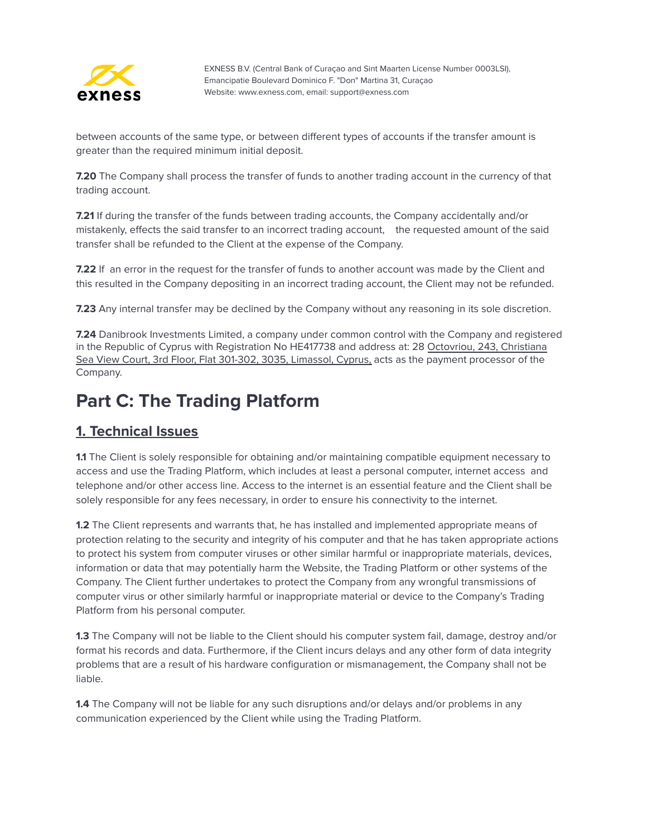

between accounts of the same type, or between different types of accounts if the transfer amount is greater than the required minimum initial deposit.

**7.20** The Company shall process the transfer of funds to another trading account in the currency of that trading account.

**7.21** If during the transfer of the funds between trading accounts, the Company accidentally and/or mistakenly, effects the said transfer to an incorrect trading account, the requested amount of the said transfer shall be refunded to the Client at the expense of the Company.

**7.22** If an error in the request for the transfer of funds to another account was made by the Client and this resulted in the Company depositing in an incorrect trading account, the Client may not be refunded.

**7.23** Any internal transfer may be declined by the Company without any reasoning in its sole discretion.

**7.24** Danibrook Investments Limited, a company under common control with the Company and registered in the Republic of Cyprus with Registration No HE417738 and address at: 28 [Octovriou,](https://exness.myzygos.com/contacts/edit/204) 243, Christiana Sea View Court, 3rd Floor, Flat 301-302, 3035, [Limassol,](https://exness.myzygos.com/contacts/edit/204) Cyprus, acts as the payment processor of the Company.

# <span id="page-34-0"></span>**Part C: The Trading Platform**

#### <span id="page-34-1"></span>**1. Technical Issues**

**1.1** The Client is solely responsible for obtaining and/or maintaining compatible equipment necessary to access and use the Trading Platform, which includes at least a personal computer, internet access and telephone and/or other access line. Access to the internet is an essential feature and the Client shall be solely responsible for any fees necessary, in order to ensure his connectivity to the internet.

**1.2** The Client represents and warrants that, he has installed and implemented appropriate means of protection relating to the security and integrity of his computer and that he has taken appropriate actions to protect his system from computer viruses or other similar harmful or inappropriate materials, devices, information or data that may potentially harm the Website, the Trading Platform or other systems of the Company. The Client further undertakes to protect the Company from any wrongful transmissions of computer virus or other similarly harmful or inappropriate material or device to the Company's Trading Platform from his personal computer.

**1.3** The Company will not be liable to the Client should his computer system fail, damage, destroy and/or format his records and data. Furthermore, if the Client incurs delays and any other form of data integrity problems that are a result of his hardware configuration or mismanagement, the Company shall not be liable.

**1.4** The Company will not be liable for any such disruptions and/or delays and/or problems in any communication experienced by the Client while using the Trading Platform.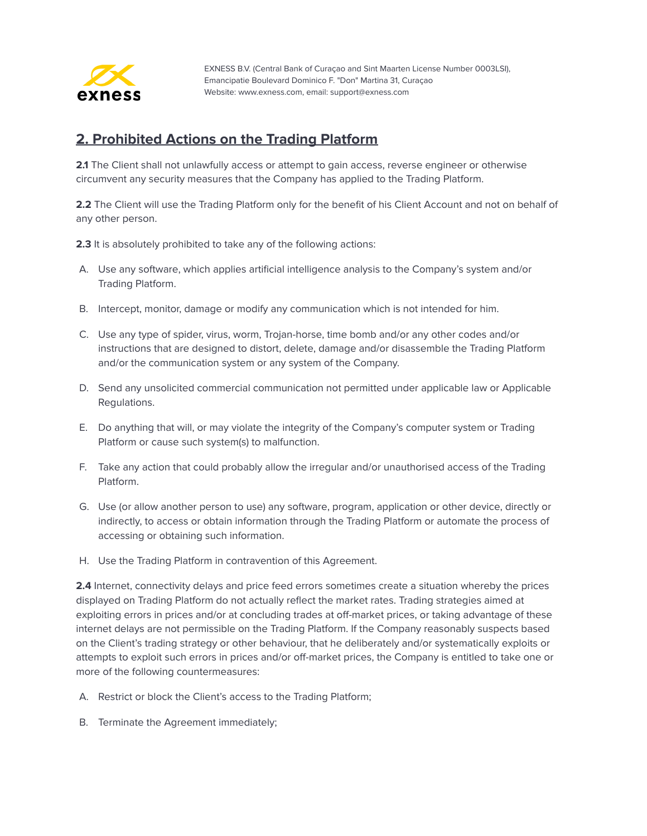

#### <span id="page-35-0"></span>**2. Prohibited Actions on the Trading Platform**

**2.1** The Client shall not unlawfully access or attempt to gain access, reverse engineer or otherwise circumvent any security measures that the Company has applied to the Trading Platform.

**2.2** The Client will use the Trading Platform only for the benefit of his Client Account and not on behalf of any other person.

**2.3** It is absolutely prohibited to take any of the following actions:

- A. Use any software, which applies artificial intelligence analysis to the Company's system and/or Trading Platform.
- B. Intercept, monitor, damage or modify any communication which is not intended for him.
- C. Use any type of spider, virus, worm, Trojan-horse, time bomb and/or any other codes and/or instructions that are designed to distort, delete, damage and/or disassemble the Trading Platform and/or the communication system or any system of the Company.
- D. Send any unsolicited commercial communication not permitted under applicable law or Applicable Regulations.
- E. Do anything that will, or may violate the integrity of the Company's computer system or Trading Platform or cause such system(s) to malfunction.
- F. Take any action that could probably allow the irregular and/or unauthorised access of the Trading Platform.
- G. Use (or allow another person to use) any software, program, application or other device, directly or indirectly, to access or obtain information through the Trading Platform or automate the process of accessing or obtaining such information.
- H. Use the Trading Platform in contravention of this Agreement.

**2.4** Internet, connectivity delays and price feed errors sometimes create a situation whereby the prices displayed on Trading Platform do not actually reflect the market rates. Trading strategies aimed at exploiting errors in prices and/or at concluding trades at off-market prices, or taking advantage of these internet delays are not permissible on the Trading Platform. If the Company reasonably suspects based on the Client's trading strategy or other behaviour, that he deliberately and/or systematically exploits or attempts to exploit such errors in prices and/or off-market prices, the Company is entitled to take one or more of the following countermeasures:

- A. Restrict or block the Client's access to the Trading Platform;
- B. Terminate the Agreement immediately;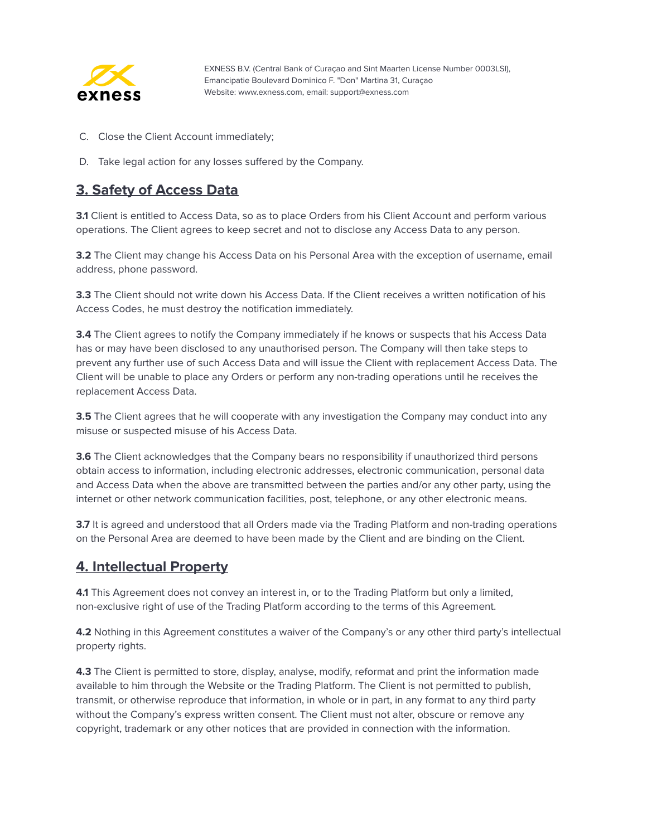

- C. Close the Client Account immediately;
- D. Take legal action for any losses suffered by the Company.

#### <span id="page-36-0"></span>**3. Safety of Access Data**

**3.1** Client is entitled to Access Data, so as to place Orders from his Client Account and perform various operations. The Client agrees to keep secret and not to disclose any Access Data to any person.

**3.2** The Client may change his Access Data on his Personal Area with the exception of username, email address, phone password.

**3.3** The Client should not write down his Access Data. If the Client receives a written notification of his Access Codes, he must destroy the notification immediately.

**3.4** The Client agrees to notify the Company immediately if he knows or suspects that his Access Data has or may have been disclosed to any unauthorised person. The Company will then take steps to prevent any further use of such Access Data and will issue the Client with replacement Access Data. The Client will be unable to place any Orders or perform any non-trading operations until he receives the replacement Access Data.

**3.5** The Client agrees that he will cooperate with any investigation the Company may conduct into any misuse or suspected misuse of his Access Data.

**3.6** The Client acknowledges that the Company bears no responsibility if unauthorized third persons obtain access to information, including electronic addresses, electronic communication, personal data and Access Data when the above are transmitted between the parties and/or any other party, using the internet or other network communication facilities, post, telephone, or any other electronic means.

**3.7** It is agreed and understood that all Orders made via the Trading Platform and non-trading operations on the Personal Area are deemed to have been made by the Client and are binding on the Client.

#### <span id="page-36-1"></span>**4. Intellectual Property**

**4.1** This Agreement does not convey an interest in, or to the Trading Platform but only a limited, non-exclusive right of use of the Trading Platform according to the terms of this Agreement.

**4.2** Nothing in this Agreement constitutes a waiver of the Company's or any other third party's intellectual property rights.

**4.3** The Client is permitted to store, display, analyse, modify, reformat and print the information made available to him through the Website or the Trading Platform. The Client is not permitted to publish, transmit, or otherwise reproduce that information, in whole or in part, in any format to any third party without the Company's express written consent. The Client must not alter, obscure or remove any copyright, trademark or any other notices that are provided in connection with the information.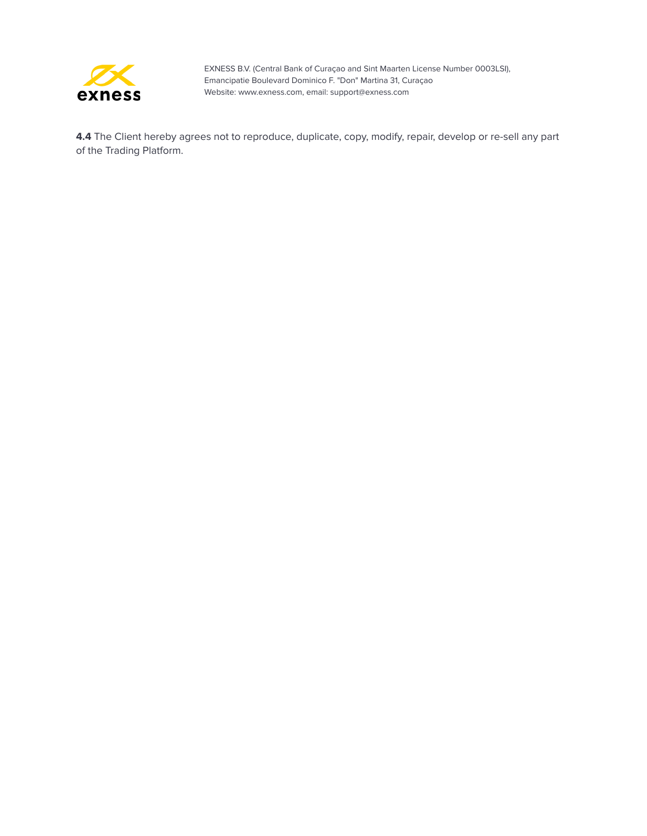

**4.4** The Client hereby agrees not to reproduce, duplicate, copy, modify, repair, develop or re-sell any part of the Trading Platform.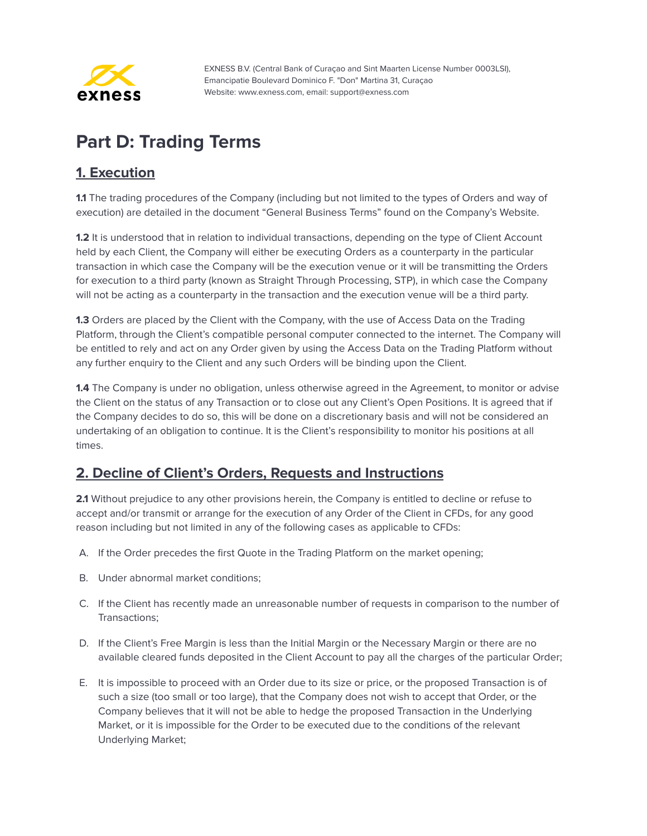

# <span id="page-38-0"></span>**Part D: Trading Terms**

## <span id="page-38-1"></span>**1. Execution**

**1.1** The trading procedures of the Company (including but not limited to the types of Orders and way of execution) are detailed in the document "General Business Terms" found on the Company's Website.

**1.2** It is understood that in relation to individual transactions, depending on the type of Client Account held by each Client, the Company will either be executing Orders as a counterparty in the particular transaction in which case the Company will be the execution venue or it will be transmitting the Orders for execution to a third party (known as Straight Through Processing, STP), in which case the Company will not be acting as a counterparty in the transaction and the execution venue will be a third party.

**1.3** Orders are placed by the Client with the Company, with the use of Access Data on the Trading Platform, through the Client's compatible personal computer connected to the internet. The Company will be entitled to rely and act on any Order given by using the Access Data on the Trading Platform without any further enquiry to the Client and any such Orders will be binding upon the Client.

**1.4** The Company is under no obligation, unless otherwise agreed in the Agreement, to monitor or advise the Client on the status of any Transaction or to close out any Client's Open Positions. It is agreed that if the Company decides to do so, this will be done on a discretionary basis and will not be considered an undertaking of an obligation to continue. It is the Client's responsibility to monitor his positions at all times.

#### <span id="page-38-2"></span>**2. Decline of Client's Orders, Requests and Instructions**

**2.1** Without prejudice to any other provisions herein, the Company is entitled to decline or refuse to accept and/or transmit or arrange for the execution of any Order of the Client in CFDs, for any good reason including but not limited in any of the following cases as applicable to CFDs:

- A. If the Order precedes the first Quote in the Trading Platform on the market opening;
- B. Under abnormal market conditions;
- C. If the Client has recently made an unreasonable number of requests in comparison to the number of Transactions;
- D. If the Client's Free Margin is less than the Initial Margin or the Necessary Margin or there are no available cleared funds deposited in the Client Account to pay all the charges of the particular Order;
- E. It is impossible to proceed with an Order due to its size or price, or the proposed Transaction is of such a size (too small or too large), that the Company does not wish to accept that Order, or the Company believes that it will not be able to hedge the proposed Transaction in the Underlying Market, or it is impossible for the Order to be executed due to the conditions of the relevant Underlying Market;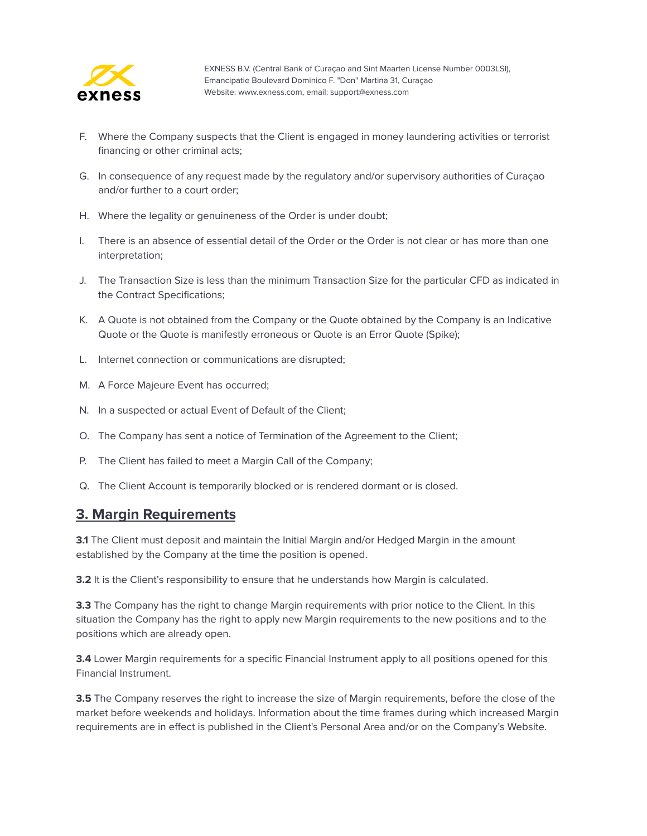

- F. Where the Company suspects that the Client is engaged in money laundering activities or terrorist financing or other criminal acts;
- G. In consequence of any request made by the regulatory and/or supervisory authorities of Curaçao and/or further to a court order;
- H. Where the legality or genuineness of the Order is under doubt;
- I. There is an absence of essential detail of the Order or the Order is not clear or has more than one interpretation;
- J. The Transaction Size is less than the minimum Transaction Size for the particular CFD as indicated in the Contract Specifications;
- K. A Quote is not obtained from the Company or the Quote obtained by the Company is an Indicative Quote or the Quote is manifestly erroneous or Quote is an Error Quote (Spike);
- L. Internet connection or communications are disrupted;
- M. A Force Majeure Event has occurred;
- N. In a suspected or actual Event of Default of the Client;
- O. The Company has sent a notice of Termination of the Agreement to the Client;
- P. The Client has failed to meet a Margin Call of the Company;
- Q. The Client Account is temporarily blocked or is rendered dormant or is closed.

#### <span id="page-39-0"></span>**3. Margin Requirements**

**3.1** The Client must deposit and maintain the Initial Margin and/or Hedged Margin in the amount established by the Company at the time the position is opened.

**3.2** It is the Client's responsibility to ensure that he understands how Margin is calculated.

**3.3** The Company has the right to change Margin requirements with prior notice to the Client. In this situation the Company has the right to apply new Margin requirements to the new positions and to the positions which are already open.

**3.4** Lower Margin requirements for a specific Financial Instrument apply to all positions opened for this Financial Instrument.

**3.5** The Company reserves the right to increase the size of Margin requirements, before the close of the market before weekends and holidays. Information about the time frames during which increased Margin requirements are in effect is published in the Client's Personal Area and/or on the Company's Website.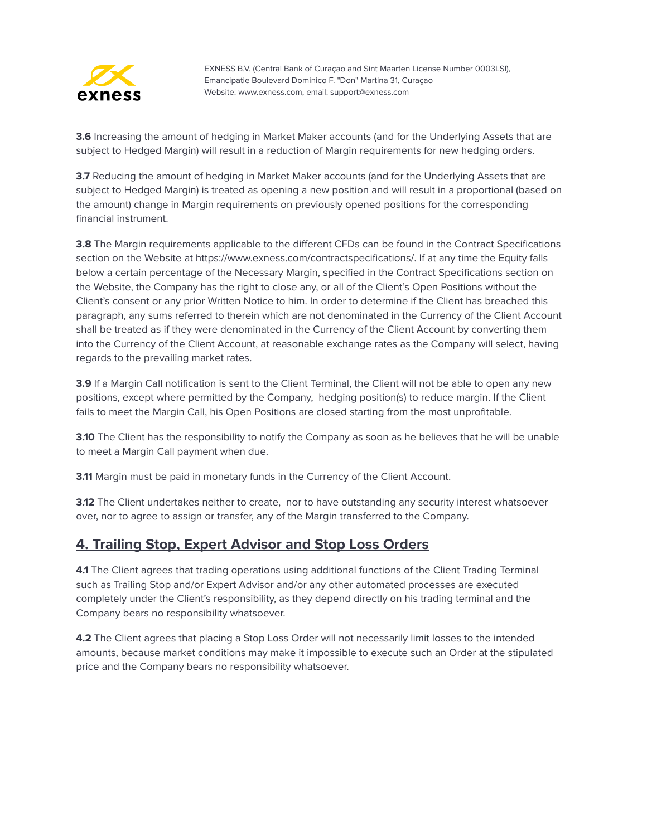

**3.6** Increasing the amount of hedging in Market Maker accounts (and for the Underlying Assets that are subject to Hedged Margin) will result in a reduction of Margin requirements for new hedging orders.

**3.7** Reducing the amount of hedging in Market Maker accounts (and for the Underlying Assets that are subject to Hedged Margin) is treated as opening a new position and will result in a proportional (based on the amount) change in Margin requirements on previously opened positions for the corresponding financial instrument.

**3.8** The Margin requirements applicable to the different CFDs can be found in the Contract Specifications section on the Website at https://www.exness.com/contractspecifications/. If at any time the Equity falls below a certain percentage of the Necessary Margin, specified in the Contract Specifications section on the Website, the Company has the right to close any, or all of the Client's Open Positions without the Client's consent or any prior Written Notice to him. In order to determine if the Client has breached this paragraph, any sums referred to therein which are not denominated in the Currency of the Client Account shall be treated as if they were denominated in the Currency of the Client Account by converting them into the Currency of the Client Account, at reasonable exchange rates as the Company will select, having regards to the prevailing market rates.

**3.9** If a Margin Call notification is sent to the Client Terminal, the Client will not be able to open any new positions, except where permitted by the Company, hedging position(s) to reduce margin. If the Client fails to meet the Margin Call, his Open Positions are closed starting from the most unprofitable.

**3.10** The Client has the responsibility to notify the Company as soon as he believes that he will be unable to meet a Margin Call payment when due.

**3.11** Margin must be paid in monetary funds in the Currency of the Client Account.

**3.12** The Client undertakes neither to create, nor to have outstanding any security interest whatsoever over, nor to agree to assign or transfer, any of the Margin transferred to the Company.

#### <span id="page-40-0"></span>**4. Trailing Stop, Expert Advisor and Stop Loss Orders**

**4.1** The Client agrees that trading operations using additional functions of the Client Trading Terminal such as Trailing Stop and/or Expert Advisor and/or any other automated processes are executed completely under the Client's responsibility, as they depend directly on his trading terminal and the Company bears no responsibility whatsoever.

**4.2** The Client agrees that placing a Stop Loss Order will not necessarily limit losses to the intended amounts, because market conditions may make it impossible to execute such an Order at the stipulated price and the Company bears no responsibility whatsoever.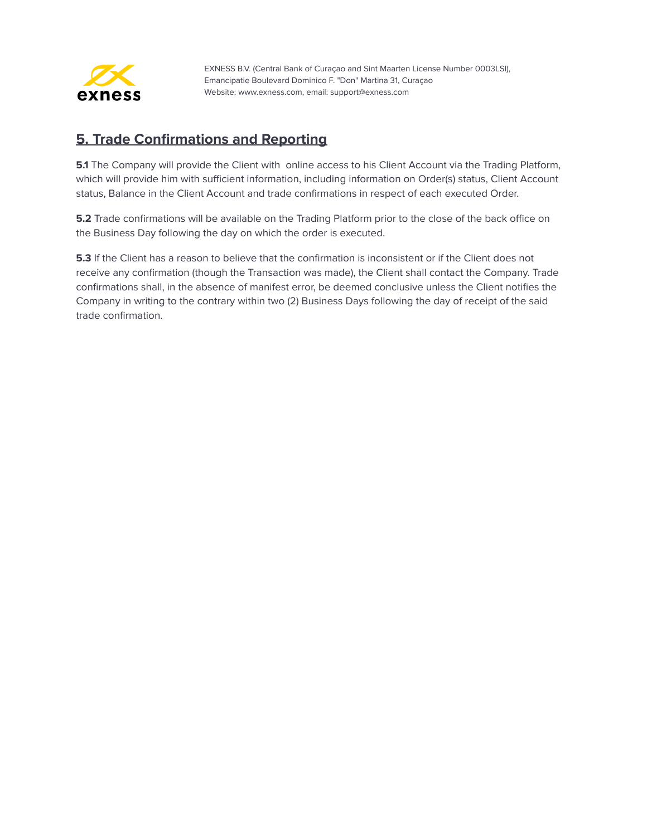

#### <span id="page-41-0"></span>**5. Trade Confirmations and Reporting**

**5.1** The Company will provide the Client with online access to his Client Account via the Trading Platform, which will provide him with sufficient information, including information on Order(s) status, Client Account status, Balance in the Client Account and trade confirmations in respect of each executed Order.

**5.2** Trade confirmations will be available on the Trading Platform prior to the close of the back office on the Business Day following the day on which the order is executed.

**5.3** If the Client has a reason to believe that the confirmation is inconsistent or if the Client does not receive any confirmation (though the Transaction was made), the Client shall contact the Company. Trade confirmations shall, in the absence of manifest error, be deemed conclusive unless the Client notifies the Company in writing to the contrary within two (2) Business Days following the day of receipt of the said trade confirmation.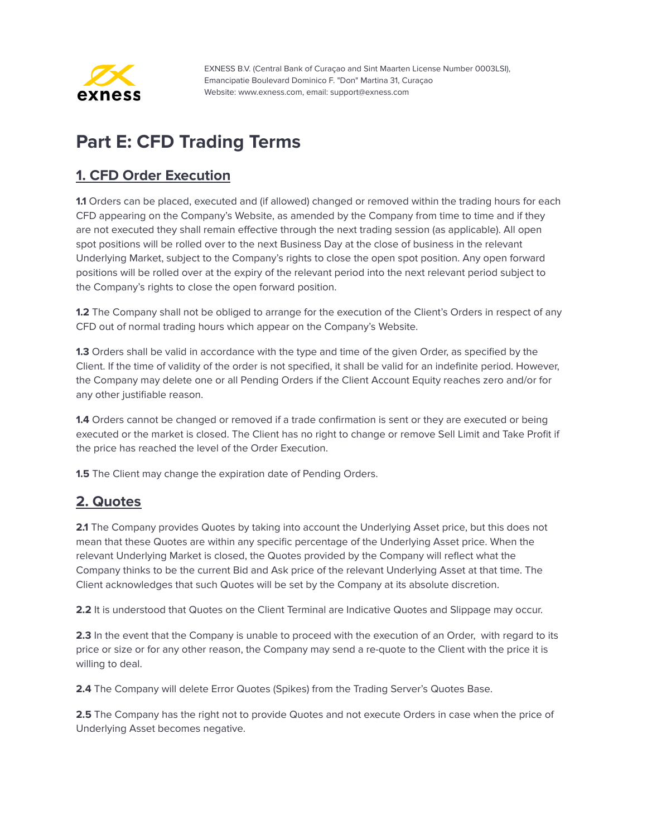

# <span id="page-42-0"></span>**Part E: CFD Trading Terms**

## <span id="page-42-1"></span>**1. CFD Order Execution**

**1.1** Orders can be placed, executed and (if allowed) changed or removed within the trading hours for each CFD appearing on the Company's Website, as amended by the Company from time to time and if they are not executed they shall remain effective through the next trading session (as applicable). All open spot positions will be rolled over to the next Business Day at the close of business in the relevant Underlying Market, subject to the Company's rights to close the open spot position. Any open forward positions will be rolled over at the expiry of the relevant period into the next relevant period subject to the Company's rights to close the open forward position.

**1.2** The Company shall not be obliged to arrange for the execution of the Client's Orders in respect of any CFD out of normal trading hours which appear on the Company's Website.

**1.3** Orders shall be valid in accordance with the type and time of the given Order, as specified by the Client. If the time of validity of the order is not specified, it shall be valid for an indefinite period. However, the Company may delete one or all Pending Orders if the Client Account Equity reaches zero and/or for any other justifiable reason.

**1.4** Orders cannot be changed or removed if a trade confirmation is sent or they are executed or being executed or the market is closed. The Client has no right to change or remove Sell Limit and Take Profit if the price has reached the level of the Order Execution.

**1.5** The Client may change the expiration date of Pending Orders.

## <span id="page-42-2"></span>**2. Quotes**

**2.1** The Company provides Quotes by taking into account the Underlying Asset price, but this does not mean that these Quotes are within any specific percentage of the Underlying Asset price. When the relevant Underlying Market is closed, the Quotes provided by the Company will reflect what the Company thinks to be the current Bid and Ask price of the relevant Underlying Asset at that time. The Client acknowledges that such Quotes will be set by the Company at its absolute discretion.

**2.2** It is understood that Quotes on the Client Terminal are Indicative Quotes and Slippage may occur.

**2.3** In the event that the Company is unable to proceed with the execution of an Order, with regard to its price or size or for any other reason, the Company may send a re-quote to the Client with the price it is willing to deal.

**2.4** The Company will delete Error Quotes (Spikes) from the Trading Server's Quotes Base.

**2.5** The Company has the right not to provide Quotes and not execute Orders in case when the price of Underlying Asset becomes negative.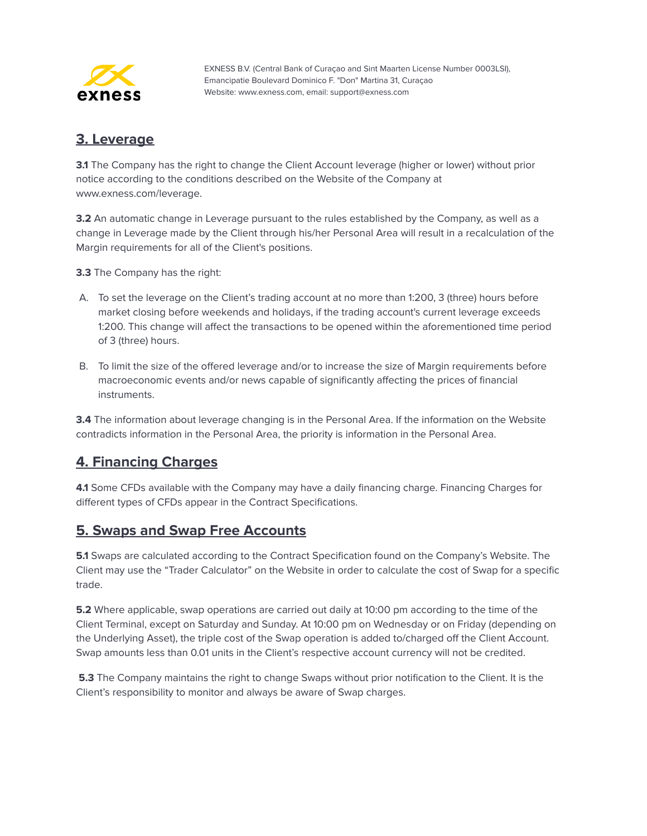

#### <span id="page-43-0"></span>**3. Leverage**

**3.1** The Company has the right to change the Client Account leverage (higher or lower) without prior notice according to the conditions described on the Website of the Company at www.exness.com/leverage.

**3.2** An automatic change in Leverage pursuant to the rules established by the Company, as well as a change in Leverage made by the Client through his/her Personal Area will result in a recalculation of the Margin requirements for all of the Client's positions.

**3.3** The Company has the right:

- A. To set the leverage on the Client's trading account at no more than 1:200, 3 (three) hours before market closing before weekends and holidays, if the trading account's current leverage exceeds 1:200. This change will affect the transactions to be opened within the aforementioned time period of 3 (three) hours.
- B. To limit the size of the offered leverage and/or to increase the size of Margin requirements before macroeconomic events and/or news capable of significantly affecting the prices of financial instruments.

**3.4** The information about leverage changing is in the Personal Area. If the information on the Website contradicts information in the Personal Area, the priority is information in the Personal Area.

#### <span id="page-43-1"></span>**4. Financing Charges**

**4.1** Some CFDs available with the Company may have a daily financing charge. Financing Charges for different types of CFDs appear in the Contract Specifications.

#### <span id="page-43-2"></span>**5. Swaps and Swap Free Accounts**

**5.1** Swaps are calculated according to the Contract Specification found on the Company's Website. The Client may use the "Trader Calculator" on the Website in order to calculate the cost of Swap for a specific trade.

**5.2** Where applicable, swap operations are carried out daily at 10:00 pm according to the time of the Client Terminal, except on Saturday and Sunday. At 10:00 pm on Wednesday or on Friday (depending on the Underlying Asset), the triple cost of the Swap operation is added to/charged off the Client Account. Swap amounts less than 0.01 units in the Client's respective account currency will not be credited.

**5.3** The Company maintains the right to change Swaps without prior notification to the Client. It is the Client's responsibility to monitor and always be aware of Swap charges.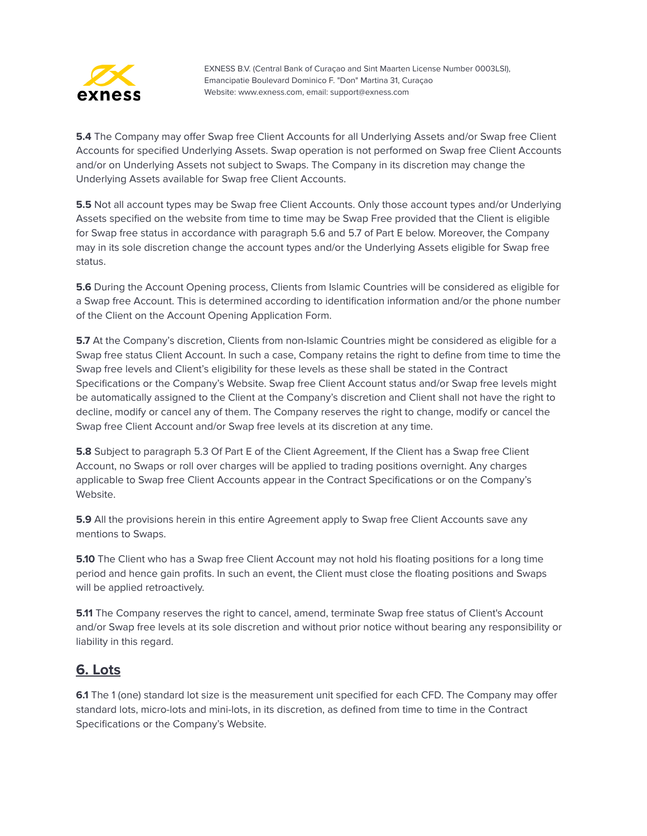

**5.4** The Company may offer Swap free Client Accounts for all Underlying Assets and/or Swap free Client Accounts for specified Underlying Assets. Swap operation is not performed on Swap free Client Accounts and/or on Underlying Assets not subject to Swaps. The Company in its discretion may change the Underlying Assets available for Swap free Client Accounts.

**5.5** Not all account types may be Swap free Client Accounts. Only those account types and/or Underlying Assets specified on the website from time to time may be Swap Free provided that the Client is eligible for Swap free status in accordance with paragraph 5.6 and 5.7 of Part E below. Moreover, the Company may in its sole discretion change the account types and/or the Underlying Assets eligible for Swap free status.

**5.6** During the Account Opening process, Clients from Islamic Countries will be considered as eligible for a Swap free Account. This is determined according to identification information and/or the phone number of the Client on the Account Opening Application Form.

**5.7** At the Company's discretion, Clients from non-Islamic Countries might be considered as eligible for a Swap free status Client Account. In such a case, Company retains the right to define from time to time the Swap free levels and Client's eligibility for these levels as these shall be stated in the Contract Specifications or the Company's Website. Swap free Client Account status and/or Swap free levels might be automatically assigned to the Client at the Company's discretion and Client shall not have the right to decline, modify or cancel any of them. The Company reserves the right to change, modify or cancel the Swap free Client Account and/or Swap free levels at its discretion at any time.

**5.8** Subject to paragraph 5.3 Of Part E of the Client Agreement, If the Client has a Swap free Client Account, no Swaps or roll over charges will be applied to trading positions overnight. Any charges applicable to Swap free Client Accounts appear in the Contract Specifications or on the Company's Website.

**5.9** All the provisions herein in this entire Agreement apply to Swap free Client Accounts save any mentions to Swaps.

**5.10** The Client who has a Swap free Client Account may not hold his floating positions for a long time period and hence gain profits. In such an event, the Client must close the floating positions and Swaps will be applied retroactively.

**5.11** The Company reserves the right to cancel, amend, terminate Swap free status of Client's Account and/or Swap free levels at its sole discretion and without prior notice without bearing any responsibility or liability in this regard.

#### <span id="page-44-0"></span>**6. Lots**

**6.1** The 1 (one) standard lot size is the measurement unit specified for each CFD. The Company may offer standard lots, micro-lots and mini-lots, in its discretion, as defined from time to time in the Contract Specifications or the Company's Website.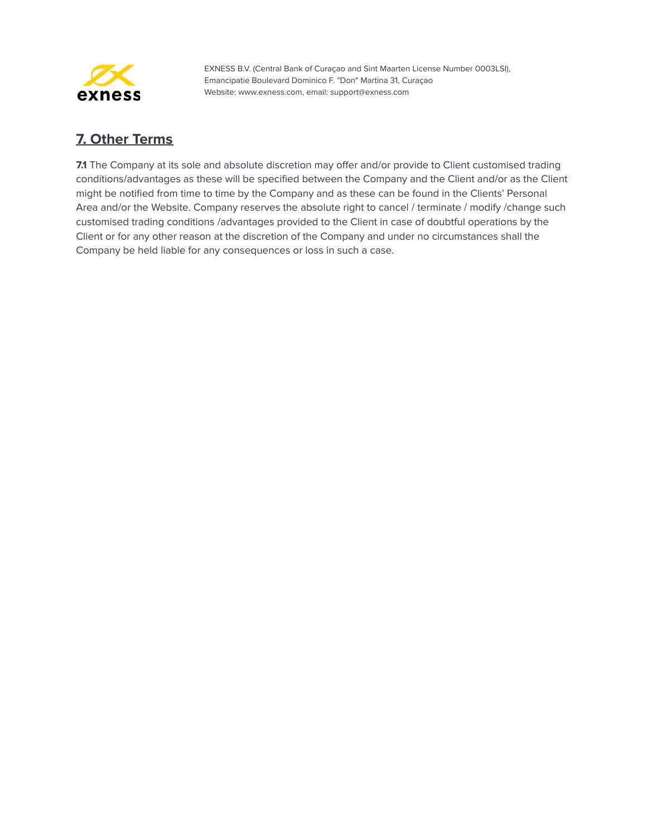

## <span id="page-45-0"></span>**7. Other Terms**

**7.1** The Company at its sole and absolute discretion may offer and/or provide to Client customised trading conditions/advantages as these will be specified between the Company and the Client and/or as the Client might be notified from time to time by the Company and as these can be found in the Clients' Personal Area and/or the Website. Company reserves the absolute right to cancel / terminate / modify /change such customised trading conditions /advantages provided to the Client in case of doubtful operations by the Client or for any other reason at the discretion of the Company and under no circumstances shall the Company be held liable for any consequences or loss in such a case.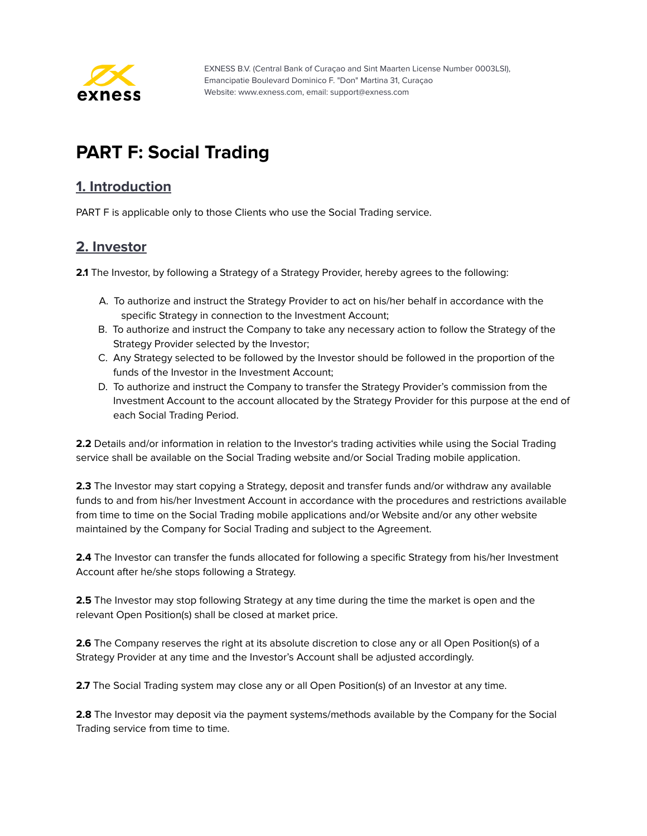

# <span id="page-46-0"></span>**PART F: Social Trading**

#### <span id="page-46-1"></span>**1. Introduction**

PART F is applicable only to those Clients who use the Social Trading service.

#### <span id="page-46-2"></span>**2. Investor**

**2.1** The Investor, by following a Strategy of a Strategy Provider, hereby agrees to the following:

- A. To authorize and instruct the Strategy Provider to act on his/her behalf in accordance with the specific Strategy in connection to the Investment Account;
- B. To authorize and instruct the Company to take any necessary action to follow the Strategy of the Strategy Provider selected by the Investor;
- C. Any Strategy selected to be followed by the Investor should be followed in the proportion of the funds of the Investor in the Investment Account;
- D. To authorize and instruct the Company to transfer the Strategy Provider's commission from the Investment Account to the account allocated by the Strategy Provider for this purpose at the end of each Social Trading Period.

**2.2** Details and/or information in relation to the Investor's trading activities while using the Social Trading service shall be available on the Social Trading website and/or Social Trading mobile application.

**2.3** The Investor may start copying a Strategy, deposit and transfer funds and/or withdraw any available funds to and from his/her Investment Account in accordance with the procedures and restrictions available from time to time on the Social Trading mobile applications and/or Website and/or any other website maintained by the Company for Social Trading and subject to the Agreement.

**2.4** The Investor can transfer the funds allocated for following a specific Strategy from his/her Investment Account after he/she stops following a Strategy.

**2.5** The Investor may stop following Strategy at any time during the time the market is open and the relevant Open Position(s) shall be closed at market price.

**2.6** The Company reserves the right at its absolute discretion to close any or all Open Position(s) of a Strategy Provider at any time and the Investor's Account shall be adjusted accordingly.

**2.7** The Social Trading system may close any or all Open Position(s) of an Investor at any time.

**2.8** The Investor may deposit via the payment systems/methods available by the Company for the Social Trading service from time to time.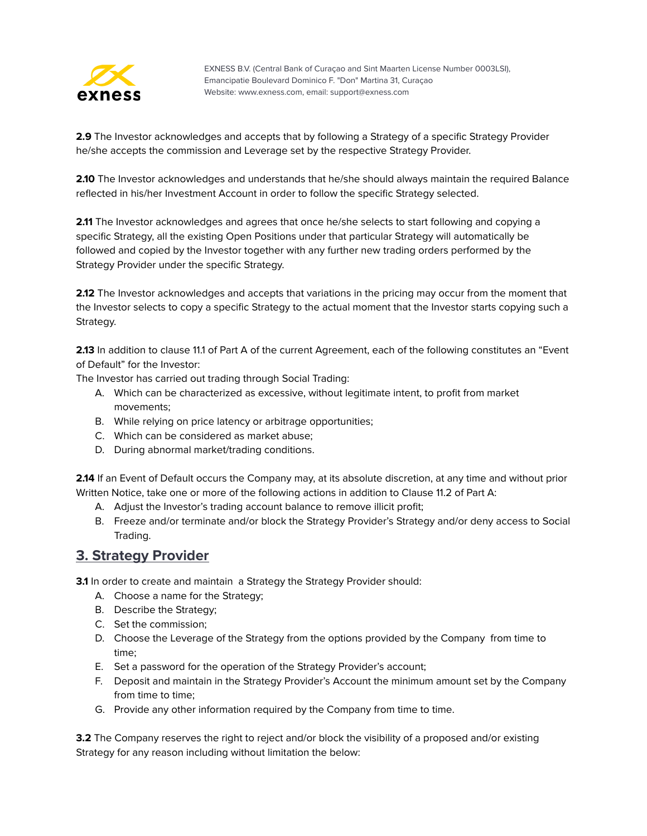

**2.9** The Investor acknowledges and accepts that by following a Strategy of a specific Strategy Provider he/she accepts the commission and Leverage set by the respective Strategy Provider.

**2.10** The Investor acknowledges and understands that he/she should always maintain the required Balance reflected in his/her Investment Account in order to follow the specific Strategy selected.

**2.11** The Investor acknowledges and agrees that once he/she selects to start following and copying a specific Strategy, all the existing Open Positions under that particular Strategy will automatically be followed and copied by the Investor together with any further new trading orders performed by the Strategy Provider under the specific Strategy.

**2.12** The Investor acknowledges and accepts that variations in the pricing may occur from the moment that the Investor selects to copy a specific Strategy to the actual moment that the Investor starts copying such a Strategy.

**2.13** In addition to clause 11.1 of Part A of the current Agreement, each of the following constitutes an "Event of Default" for the Investor:

The Investor has carried out trading through Social Trading:

- A. Which can be characterized as excessive, without legitimate intent, to profit from market movements;
- B. While relying on price latency or arbitrage opportunities;
- C. Which can be considered as market abuse;
- D. During abnormal market/trading conditions.

**2.14** If an Event of Default occurs the Company may, at its absolute discretion, at any time and without prior Written Notice, take one or more of the following actions in addition to Clause 11.2 of Part A:

- A. Adjust the Investor's trading account balance to remove illicit profit;
- B. Freeze and/or terminate and/or block the Strategy Provider's Strategy and/or deny access to Social Trading.

#### <span id="page-47-0"></span>**3. Strategy Provider**

**3.1** In order to create and maintain a Strategy the Strategy Provider should:

- A. Choose a name for the Strategy;
- B. Describe the Strategy;
- C. Set the commission;
- D. Choose the Leverage of the Strategy from the options provided by the Company from time to time;
- E. Set a password for the operation of the Strategy Provider's account;
- F. Deposit and maintain in the Strategy Provider's Account the minimum amount set by the Company from time to time;
- G. Provide any other information required by the Company from time to time.

**3.2** The Company reserves the right to reject and/or block the visibility of a proposed and/or existing Strategy for any reason including without limitation the below: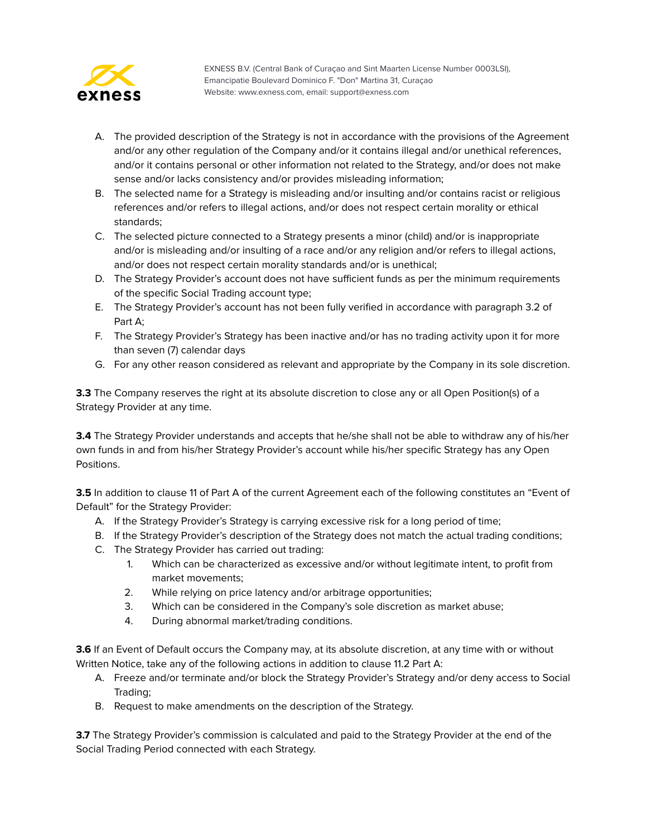

- A. The provided description of the Strategy is not in accordance with the provisions of the Agreement and/or any other regulation of the Company and/or it contains illegal and/or unethical references, and/or it contains personal or other information not related to the Strategy, and/or does not make sense and/or lacks consistency and/or provides misleading information;
- B. The selected name for a Strategy is misleading and/or insulting and/or contains racist or religious references and/or refers to illegal actions, and/or does not respect certain morality or ethical standards;
- C. The selected picture connected to a Strategy presents a minor (child) and/or is inappropriate and/or is misleading and/or insulting of a race and/or any religion and/or refers to illegal actions, and/or does not respect certain morality standards and/or is unethical;
- D. The Strategy Provider's account does not have sufficient funds as per the minimum requirements of the specific Social Trading account type;
- E. The Strategy Provider's account has not been fully verified in accordance with paragraph 3.2 of Part A;
- F. The Strategy Provider's Strategy has been inactive and/or has no trading activity upon it for more than seven (7) calendar days
- G. For any other reason considered as relevant and appropriate by the Company in its sole discretion.

**3.3** The Company reserves the right at its absolute discretion to close any or all Open Position(s) of a Strategy Provider at any time.

**3.4** The Strategy Provider understands and accepts that he/she shall not be able to withdraw any of his/her own funds in and from his/her Strategy Provider's account while his/her specific Strategy has any Open Positions.

**3.5** In addition to clause 11 of Part A of the current Agreement each of the following constitutes an "Event of Default" for the Strategy Provider:

- A. If the Strategy Provider's Strategy is carrying excessive risk for a long period of time;
- B. If the Strategy Provider's description of the Strategy does not match the actual trading conditions;
- C. The Strategy Provider has carried out trading:
	- 1. Which can be characterized as excessive and/or without legitimate intent, to profit from market movements;
	- 2. While relying on price latency and/or arbitrage opportunities;
	- 3. Which can be considered in the Company's sole discretion as market abuse;
	- 4. During abnormal market/trading conditions.

**3.6** If an Event of Default occurs the Company may, at its absolute discretion, at any time with or without Written Notice, take any of the following actions in addition to clause 11.2 Part A:

- A. Freeze and/or terminate and/or block the Strategy Provider's Strategy and/or deny access to Social Trading;
- B. Request to make amendments on the description of the Strategy.

**3.7** The Strategy Provider's commission is calculated and paid to the Strategy Provider at the end of the Social Trading Period connected with each Strategy.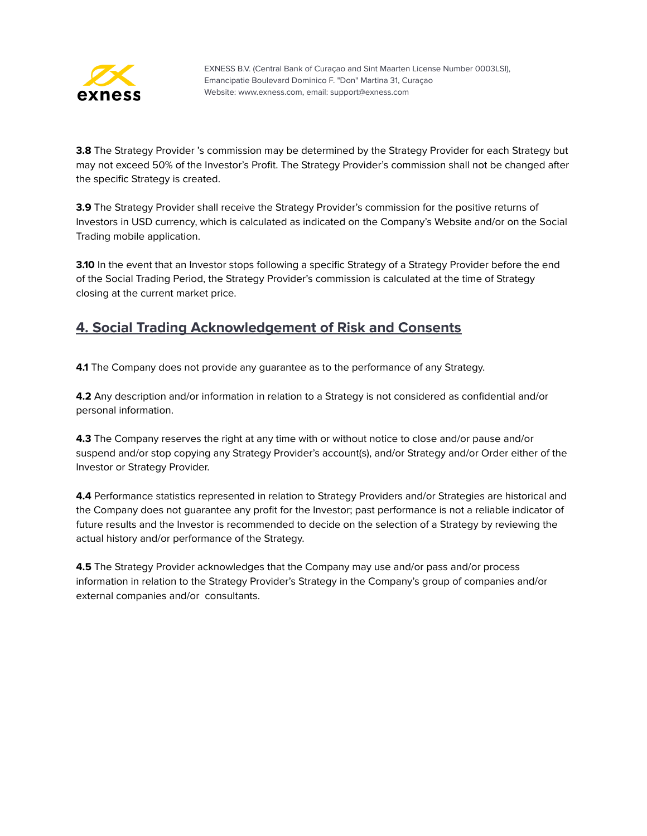

**3.8** The Strategy Provider 's commission may be determined by the Strategy Provider for each Strategy but may not exceed 50% of the Investor's Profit. The Strategy Provider's commission shall not be changed after the specific Strategy is created.

**3.9** The Strategy Provider shall receive the Strategy Provider's commission for the positive returns of Investors in USD currency, which is calculated as indicated on the Company's Website and/or on the Social Trading mobile application.

**3.10** In the event that an Investor stops following a specific Strategy of a Strategy Provider before the end of the Social Trading Period, the Strategy Provider's commission is calculated at the time of Strategy closing at the current market price.

#### <span id="page-49-0"></span>**4. Social Trading Acknowledgement of Risk and Consents**

**4.1** The Company does not provide any quarantee as to the performance of any Strategy.

**4.2** Any description and/or information in relation to a Strategy is not considered as confidential and/or personal information.

**4.3** The Company reserves the right at any time with or without notice to close and/or pause and/or suspend and/or stop copying any Strategy Provider's account(s), and/or Strategy and/or Order either of the Investor or Strategy Provider.

**4.4** Performance statistics represented in relation to Strategy Providers and/or Strategies are historical and the Company does not guarantee any profit for the Investor; past performance is not a reliable indicator of future results and the Investor is recommended to decide on the selection of a Strategy by reviewing the actual history and/or performance of the Strategy.

**4.5** The Strategy Provider acknowledges that the Company may use and/or pass and/or process information in relation to the Strategy Provider's Strategy in the Company's group of companies and/or external companies and/or consultants.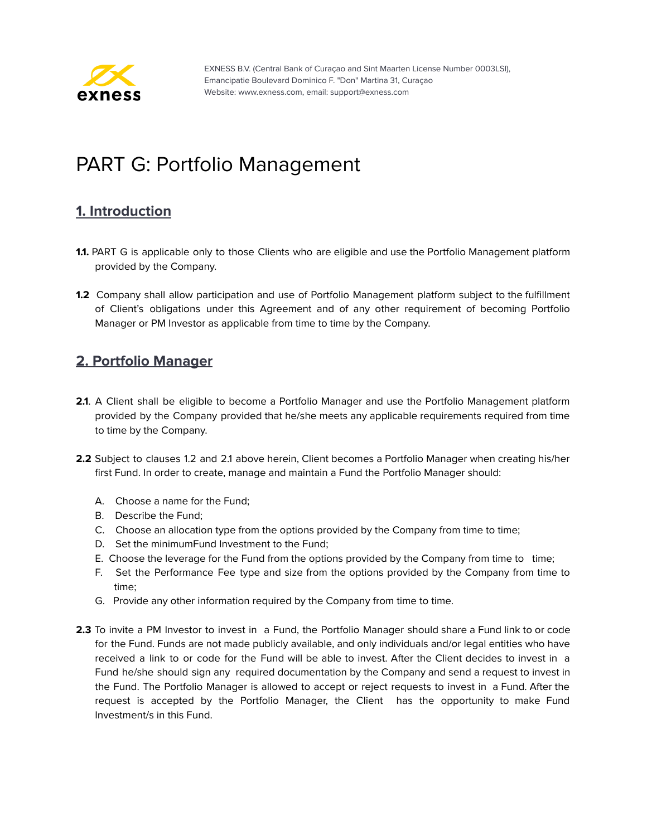

# <span id="page-50-0"></span>PART G: Portfolio Management

## <span id="page-50-1"></span>**1. Introduction**

- **1.1.** PART G is applicable only to those Clients who are eligible and use the Portfolio Management platform provided by the Company.
- **1.2** Company shall allow participation and use of Portfolio Management platform subject to the fulfillment of Client's obligations under this Agreement and of any other requirement of becoming Portfolio Manager or PM Investor as applicable from time to time by the Company.

#### <span id="page-50-2"></span>**2. Portfolio Manager**

- **2.1**. A Client shall be eligible to become a Portfolio Manager and use the Portfolio Management platform provided by the Company provided that he/she meets any applicable requirements required from time to time by the Company.
- **2.2** Subject to clauses 1.2 and 2.1 above herein, Client becomes a Portfolio Manager when creating his/her first Fund. In order to create, manage and maintain a Fund the Portfolio Manager should:
	- A. Choose a name for the Fund;
	- B. Describe the Fund;
	- C. Choose an allocation type from the options provided by the Company from time to time;
	- D. Set the minimumFund Investment to the Fund;
	- E. Choose the leverage for the Fund from the options provided by the Company from time to time;
	- F. Set the Performance Fee type and size from the options provided by the Company from time to time;
	- G. Provide any other information required by the Company from time to time.
- **2.3** To invite a PM Investor to invest in a Fund, the Portfolio Manager should share a Fund link to or code for the Fund. Funds are not made publicly available, and only individuals and/or legal entities who have received a link to or code for the Fund will be able to invest. After the Client decides to invest in a Fund he/she should sign any required documentation by the Company and send a request to invest in the Fund. The Portfolio Manager is allowed to accept or reject requests to invest in a Fund. After the request is accepted by the Portfolio Manager, the Client has the opportunity to make Fund Investment/s in this Fund.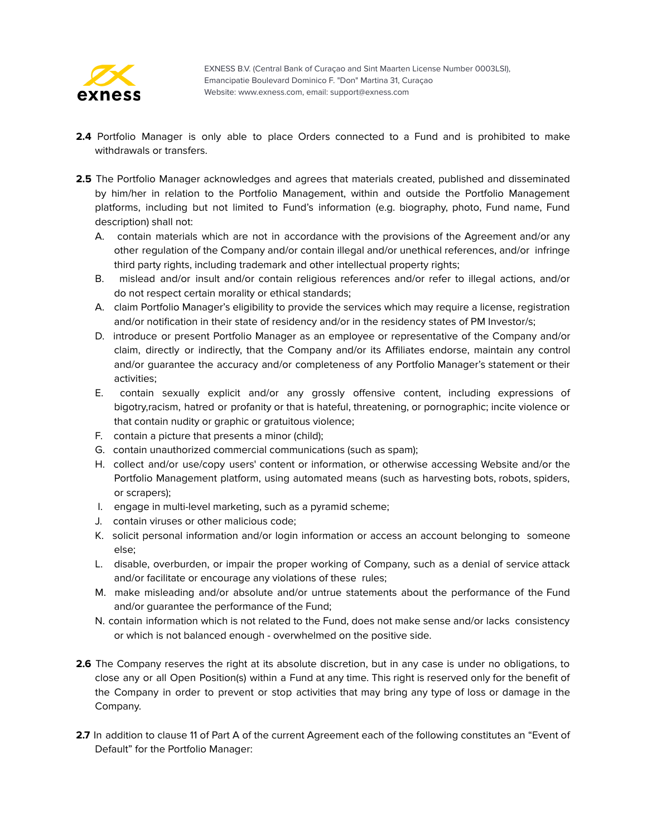

- **2.4** Portfolio Manager is only able to place Orders connected to a Fund and is prohibited to make withdrawals or transfers.
- **2.5** The Portfolio Manager acknowledges and agrees that materials created, published and disseminated by him/her in relation to the Portfolio Management, within and outside the Portfolio Management platforms, including but not limited to Fund's information (e.g. biography, photo, Fund name, Fund description) shall not:
	- A. contain materials which are not in accordance with the provisions of the Agreement and/or any other regulation of the Company and/or contain illegal and/or unethical references, and/or infringe third party rights, including trademark and other intellectual property rights;
	- B. mislead and/or insult and/or contain religious references and/or refer to illegal actions, and/or do not respect certain morality or ethical standards;
	- A. claim Portfolio Manager's eligibility to provide the services which may require a license, registration and/or notification in their state of residency and/or in the residency states of PM Investor/s;
	- D. introduce or present Portfolio Manager as an employee or representative of the Company and/or claim, directly or indirectly, that the Company and/or its Affiliates endorse, maintain any control and/or guarantee the accuracy and/or completeness of any Portfolio Manager's statement or their activities;
	- E. contain sexually explicit and/or any grossly offensive content, including expressions of bigotry,racism, hatred or profanity or that is hateful, threatening, or pornographic; incite violence or that contain nudity or graphic or gratuitous violence;
	- F. contain a picture that presents a minor (child);
	- G. contain unauthorized commercial communications (such as spam);
	- H. collect and/or use/copy users' content or information, or otherwise accessing Website and/or the Portfolio Management platform, using automated means (such as harvesting bots, robots, spiders, or scrapers);
	- I. engage in multi-level marketing, such as a pyramid scheme;
	- J. contain viruses or other malicious code;
	- K. solicit personal information and/or login information or access an account belonging to someone else;
	- L. disable, overburden, or impair the proper working of Company, such as a denial of service attack and/or facilitate or encourage any violations of these rules;
	- M. make misleading and/or absolute and/or untrue statements about the performance of the Fund and/or guarantee the performance of the Fund;
	- N. contain information which is not related to the Fund, does not make sense and/or lacks consistency or which is not balanced enough - overwhelmed on the positive side.
- **2.6** The Company reserves the right at its absolute discretion, but in any case is under no obligations, to close any or all Open Position(s) within a Fund at any time. This right is reserved only for the benefit of the Company in order to prevent or stop activities that may bring any type of loss or damage in the Company.
- **2.7** In addition to clause 11 of Part A of the current Agreement each of the following constitutes an "Event of Default" for the Portfolio Manager: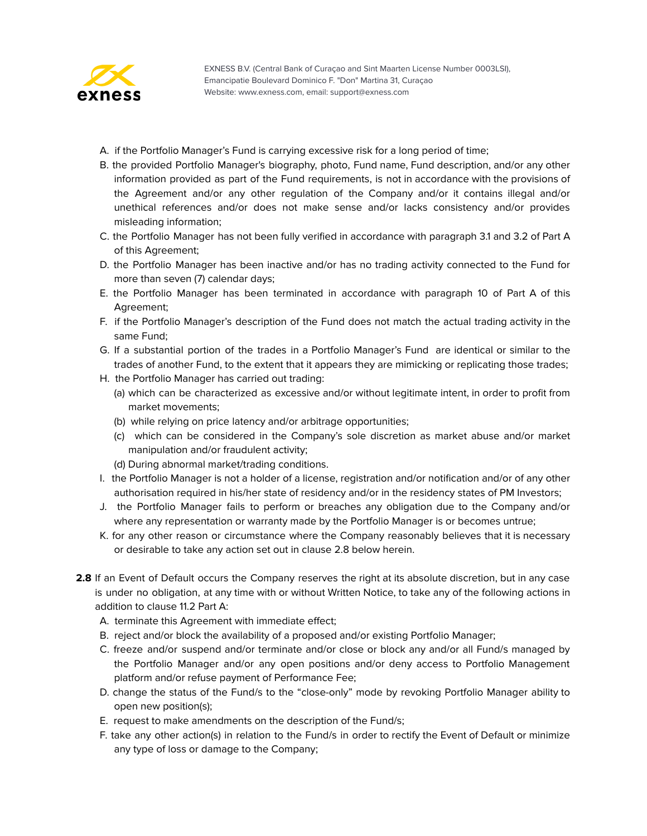

- A. if the Portfolio Manager's Fund is carrying excessive risk for a long period of time;
- B. the provided Portfolio Manager's biography, photo, Fund name, Fund description, and/or any other information provided as part of the Fund requirements, is not in accordance with the provisions of the Agreement and/or any other regulation of the Company and/or it contains illegal and/or unethical references and/or does not make sense and/or lacks consistency and/or provides misleading information;
- C. the Portfolio Manager has not been fully verified in accordance with paragraph 3.1 and 3.2 of Part A of this Agreement;
- D. the Portfolio Manager has been inactive and/or has no trading activity connected to the Fund for more than seven (7) calendar days;
- E. the Portfolio Manager has been terminated in accordance with paragraph 10 of Part A of this Agreement;
- F. if the Portfolio Manager's description of the Fund does not match the actual trading activity in the same Fund;
- G. If a substantial portion of the trades in a Portfolio Manager's Fund are identical or similar to the trades of another Fund, to the extent that it appears they are mimicking or replicating those trades;
- H. the Portfolio Manager has carried out trading:
	- (a) which can be characterized as excessive and/or without legitimate intent, in order to profit from market movements;
	- (b) while relying on price latency and/or arbitrage opportunities;
	- (c) which can be considered in the Company's sole discretion as market abuse and/or market manipulation and/or fraudulent activity;
	- (d) During abnormal market/trading conditions.
- I. the Portfolio Manager is not a holder of a license, registration and/or notification and/or of any other authorisation required in his/her state of residency and/or in the residency states of PM Investors;
- J. the Portfolio Manager fails to perform or breaches any obligation due to the Company and/or where any representation or warranty made by the Portfolio Manager is or becomes untrue;
- K. for any other reason or circumstance where the Company reasonably believes that it is necessary or desirable to take any action set out in clause 2.8 below herein.
- **2.8** If an Event of Default occurs the Company reserves the right at its absolute discretion, but in any case is under no obligation, at any time with or without Written Notice, to take any of the following actions in addition to clause 11.2 Part A:
	- A. terminate this Agreement with immediate effect;
	- B. reject and/or block the availability of a proposed and/or existing Portfolio Manager;
	- C. freeze and/or suspend and/or terminate and/or close or block any and/or all Fund/s managed by the Portfolio Manager and/or any open positions and/or deny access to Portfolio Management platform and/or refuse payment of Performance Fee;
	- D. change the status of the Fund/s to the "close-only" mode by revoking Portfolio Manager ability to open new position(s);
	- E. request to make amendments on the description of the Fund/s;
	- F. take any other action(s) in relation to the Fund/s in order to rectify the Event of Default or minimize any type of loss or damage to the Company;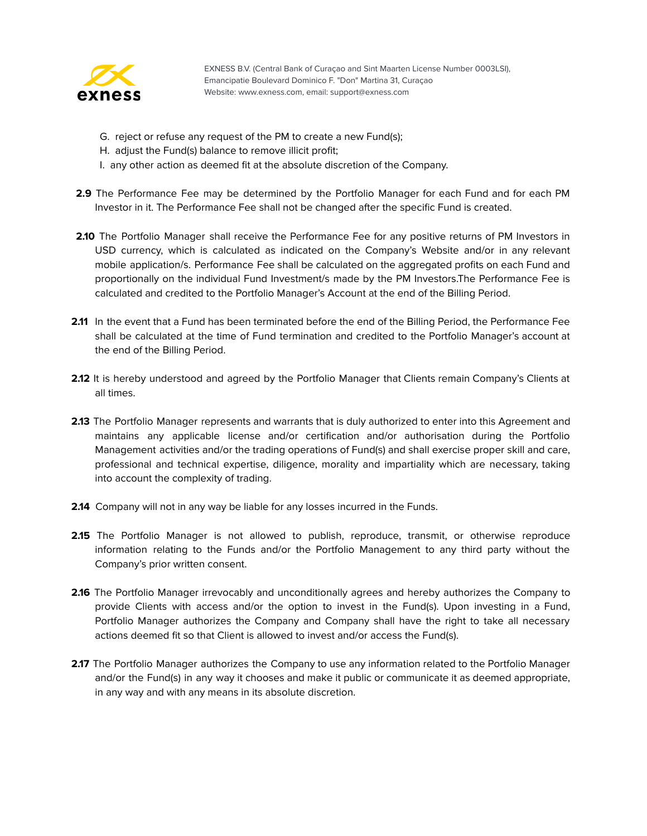

- G. reject or refuse any request of the PM to create a new Fund(s);
- H. adjust the Fund(s) balance to remove illicit profit;
- I. any other action as deemed fit at the absolute discretion of the Company.
- **2.9** The Performance Fee may be determined by the Portfolio Manager for each Fund and for each PM Investor in it. The Performance Fee shall not be changed after the specific Fund is created.
- **2.10** The Portfolio Manager shall receive the Performance Fee for any positive returns of PM Investors in USD currency, which is calculated as indicated on the Company's Website and/or in any relevant mobile application/s. Performance Fee shall be calculated on the aggregated profits on each Fund and proportionally on the individual Fund Investment/s made by the PM Investors.The Performance Fee is calculated and credited to the Portfolio Manager's Account at the end of the Billing Period.
- **2.11** In the event that a Fund has been terminated before the end of the Billing Period, the Performance Fee shall be calculated at the time of Fund termination and credited to the Portfolio Manager's account at the end of the Billing Period.
- **2.12** It is hereby understood and agreed by the Portfolio Manager that Clients remain Company's Clients at all times.
- **2.13** The Portfolio Manager represents and warrants that is duly authorized to enter into this Agreement and maintains any applicable license and/or certification and/or authorisation during the Portfolio Management activities and/or the trading operations of Fund(s) and shall exercise proper skill and care, professional and technical expertise, diligence, morality and impartiality which are necessary, taking into account the complexity of trading.
- **2.14** Company will not in any way be liable for any losses incurred in the Funds.
- 2.15 The Portfolio Manager is not allowed to publish, reproduce, transmit, or otherwise reproduce information relating to the Funds and/or the Portfolio Management to any third party without the Company's prior written consent.
- **2.16** The Portfolio Manager irrevocably and unconditionally agrees and hereby authorizes the Company to provide Clients with access and/or the option to invest in the Fund(s). Upon investing in a Fund, Portfolio Manager authorizes the Company and Company shall have the right to take all necessary actions deemed fit so that Client is allowed to invest and/or access the Fund(s).
- **2.17** The Portfolio Manager authorizes the Company to use any information related to the Portfolio Manager and/or the Fund(s) in any way it chooses and make it public or communicate it as deemed appropriate, in any way and with any means in its absolute discretion.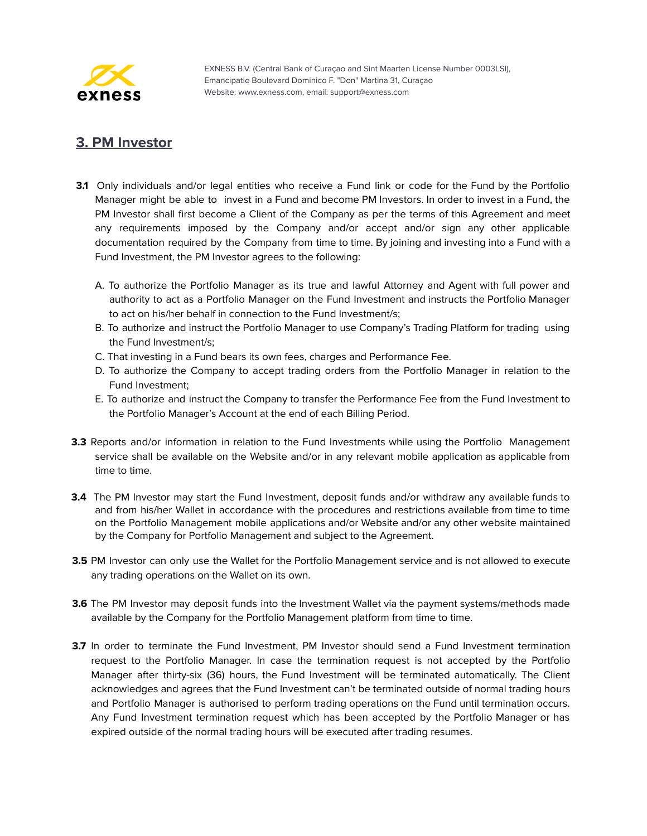

#### <span id="page-54-0"></span>**3. PM Investor**

- **3.1** Only individuals and/or legal entities who receive a Fund link or code for the Fund by the Portfolio Manager might be able to invest in a Fund and become PM Investors. In order to invest in a Fund, the PM Investor shall first become a Client of the Company as per the terms of this Agreement and meet any requirements imposed by the Company and/or accept and/or sign any other applicable documentation required by the Company from time to time. By joining and investing into a Fund with a Fund Investment, the PM Investor agrees to the following:
	- A. To authorize the Portfolio Manager as its true and lawful Attorney and Agent with full power and authority to act as a Portfolio Manager on the Fund Investment and instructs the Portfolio Manager to act on his/her behalf in connection to the Fund Investment/s;
	- B. To authorize and instruct the Portfolio Manager to use Company's Trading Platform for trading using the Fund Investment/s;
	- C. That investing in a Fund bears its own fees, charges and Performance Fee.
	- D. To authorize the Company to accept trading orders from the Portfolio Manager in relation to the Fund Investment;
	- E. To authorize and instruct the Company to transfer the Performance Fee from the Fund Investment to the Portfolio Manager's Account at the end of each Billing Period.
- **3.3** Reports and/or information in relation to the Fund Investments while using the Portfolio Management service shall be available on the Website and/or in any relevant mobile application as applicable from time to time.
- **3.4** The PM Investor may start the Fund Investment, deposit funds and/or withdraw any available funds to and from his/her Wallet in accordance with the procedures and restrictions available from time to time on the Portfolio Management mobile applications and/or Website and/or any other website maintained by the Company for Portfolio Management and subject to the Agreement.
- **3.5** PM Investor can only use the Wallet for the Portfolio Management service and is not allowed to execute any trading operations on the Wallet on its own.
- **3.6** The PM Investor may deposit funds into the Investment Wallet via the payment systems/methods made available by the Company for the Portfolio Management platform from time to time.
- **3.7** In order to terminate the Fund Investment, PM Investor should send a Fund Investment termination request to the Portfolio Manager. In case the termination request is not accepted by the Portfolio Manager after thirty-six (36) hours, the Fund Investment will be terminated automatically. The Client acknowledges and agrees that the Fund Investment can't be terminated outside of normal trading hours and Portfolio Manager is authorised to perform trading operations on the Fund until termination occurs. Any Fund Investment termination request which has been accepted by the Portfolio Manager or has expired outside of the normal trading hours will be executed after trading resumes.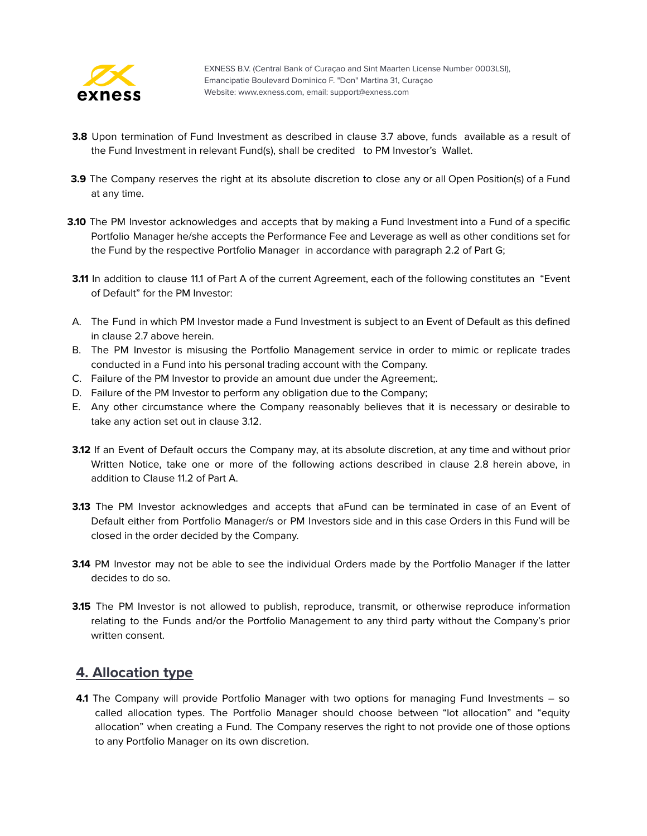

- **3.8** Upon termination of Fund Investment as described in clause 3.7 above, funds available as a result of the Fund Investment in relevant Fund(s), shall be credited to PM Investor's Wallet.
- **3.9** The Company reserves the right at its absolute discretion to close any or all Open Position(s) of a Fund at any time.
- **3.10** The PM Investor acknowledges and accepts that by making a Fund Investment into a Fund of a specific Portfolio Manager he/she accepts the Performance Fee and Leverage as well as other conditions set for the Fund by the respective Portfolio Manager in accordance with paragraph 2.2 of Part G;
- **3.11** In addition to clause 11.1 of Part A of the current Agreement, each of the following constitutes an "Event of Default" for the PM Investor:
- A. The Fund in which PM Investor made a Fund Investment is subject to an Event of Default as this defined in clause 2.7 above herein.
- B. The PM Investor is misusing the Portfolio Management service in order to mimic or replicate trades conducted in a Fund into his personal trading account with the Company.
- C. Failure of the PM Investor to provide an amount due under the Agreement;.
- D. Failure of the PM Investor to perform any obligation due to the Company;
- E. Any other circumstance where the Company reasonably believes that it is necessary or desirable to take any action set out in clause 3.12.
- **3.12** If an Event of Default occurs the Company may, at its absolute discretion, at any time and without prior Written Notice, take one or more of the following actions described in clause 2.8 herein above, in addition to Clause 11.2 of Part A.
- **3.13** The PM Investor acknowledges and accepts that aFund can be terminated in case of an Event of Default either from Portfolio Manager/s or PM Investors side and in this case Orders in this Fund will be closed in the order decided by the Company.
- **3.14** PM Investor may not be able to see the individual Orders made by the Portfolio Manager if the latter decides to do so.
- **3.15** The PM Investor is not allowed to publish, reproduce, transmit, or otherwise reproduce information relating to the Funds and/or the Portfolio Management to any third party without the Company's prior written consent.

#### <span id="page-55-0"></span>**4. Allocation type**

**4.1** The Company will provide Portfolio Manager with two options for managing Fund Investments – so called allocation types. The Portfolio Manager should choose between "lot allocation" and "equity allocation" when creating a Fund. The Company reserves the right to not provide one of those options to any Portfolio Manager on its own discretion.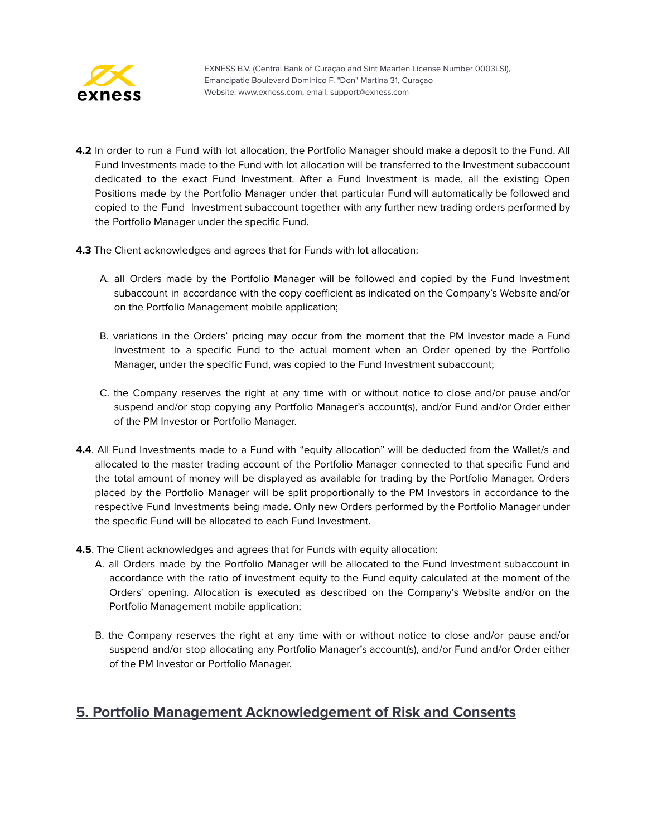

- **4.2** In order to run a Fund with lot allocation, the Portfolio Manager should make a deposit to the Fund. All Fund Investments made to the Fund with lot allocation will be transferred to the Investment subaccount dedicated to the exact Fund Investment. After a Fund Investment is made, all the existing Open Positions made by the Portfolio Manager under that particular Fund will automatically be followed and copied to the Fund Investment subaccount together with any further new trading orders performed by the Portfolio Manager under the specific Fund.
- **4.3** The Client acknowledges and agrees that for Funds with lot allocation:
	- A. all Orders made by the Portfolio Manager will be followed and copied by the Fund Investment subaccount in accordance with the copy coefficient as indicated on the Company's Website and/or on the Portfolio Management mobile application;
	- B. variations in the Orders' pricing may occur from the moment that the PM Investor made a Fund Investment to a specific Fund to the actual moment when an Order opened by the Portfolio Manager, under the specific Fund, was copied to the Fund Investment subaccount;
	- C. the Company reserves the right at any time with or without notice to close and/or pause and/or suspend and/or stop copying any Portfolio Manager's account(s), and/or Fund and/or Order either of the PM Investor or Portfolio Manager.
- **4.4**. All Fund Investments made to a Fund with "equity allocation" will be deducted from the Wallet/s and allocated to the master trading account of the Portfolio Manager connected to that specific Fund and the total amount of money will be displayed as available for trading by the Portfolio Manager. Orders placed by the Portfolio Manager will be split proportionally to the PM Investors in accordance to the respective Fund Investments being made. Only new Orders performed by the Portfolio Manager under the specific Fund will be allocated to each Fund Investment.
- **4.5**. The Client acknowledges and agrees that for Funds with equity allocation:
	- A. all Orders made by the Portfolio Manager will be allocated to the Fund Investment subaccount in accordance with the ratio of investment equity to the Fund equity calculated at the moment of the Orders' opening. Allocation is executed as described on the Company's Website and/or on the Portfolio Management mobile application;
	- B. the Company reserves the right at any time with or without notice to close and/or pause and/or suspend and/or stop allocating any Portfolio Manager's account(s), and/or Fund and/or Order either of the PM Investor or Portfolio Manager.

#### <span id="page-56-0"></span>**5. Portfolio Management Acknowledgement of Risk and Consents**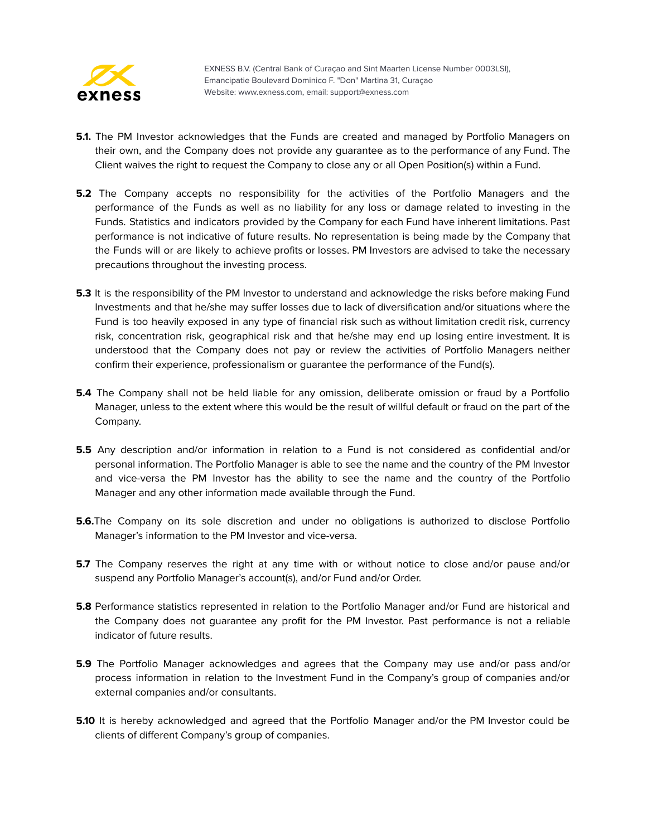

- **5.1.** The PM Investor acknowledges that the Funds are created and managed by Portfolio Managers on their own, and the Company does not provide any guarantee as to the performance of any Fund. The Client waives the right to request the Company to close any or all Open Position(s) within a Fund.
- **5.2** The Company accepts no responsibility for the activities of the Portfolio Managers and the performance of the Funds as well as no liability for any loss or damage related to investing in the Funds. Statistics and indicators provided by the Company for each Fund have inherent limitations. Past performance is not indicative of future results. No representation is being made by the Company that the Funds will or are likely to achieve profits or losses. PM Investors are advised to take the necessary precautions throughout the investing process.
- **5.3** It is the responsibility of the PM Investor to understand and acknowledge the risks before making Fund Investments and that he/she may suffer losses due to lack of diversification and/or situations where the Fund is too heavily exposed in any type of financial risk such as without limitation credit risk, currency risk, concentration risk, geographical risk and that he/she may end up losing entire investment. It is understood that the Company does not pay or review the activities of Portfolio Managers neither confirm their experience, professionalism or guarantee the performance of the Fund(s).
- **5.4** The Company shall not be held liable for any omission, deliberate omission or fraud by a Portfolio Manager, unless to the extent where this would be the result of willful default or fraud on the part of the Company.
- **5.5** Any description and/or information in relation to a Fund is not considered as confidential and/or personal information. The Portfolio Manager is able to see the name and the country of the PM Investor and vice-versa the PM Investor has the ability to see the name and the country of the Portfolio Manager and any other information made available through the Fund.
- **5.6.**The Company on its sole discretion and under no obligations is authorized to disclose Portfolio Manager's information to the PM Investor and vice-versa.
- **5.7** The Company reserves the right at any time with or without notice to close and/or pause and/or suspend any Portfolio Manager's account(s), and/or Fund and/or Order.
- **5.8** Performance statistics represented in relation to the Portfolio Manager and/or Fund are historical and the Company does not guarantee any profit for the PM Investor. Past performance is not a reliable indicator of future results.
- **5.9** The Portfolio Manager acknowledges and agrees that the Company may use and/or pass and/or process information in relation to the Investment Fund in the Company's group of companies and/or external companies and/or consultants.
- **5.10** It is hereby acknowledged and agreed that the Portfolio Manager and/or the PM Investor could be clients of different Company's group of companies.